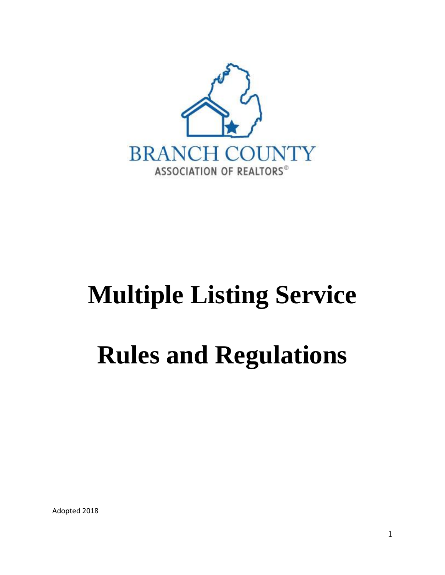

# **Multiple Listing Service Rules and Regulations**

Adopted 2018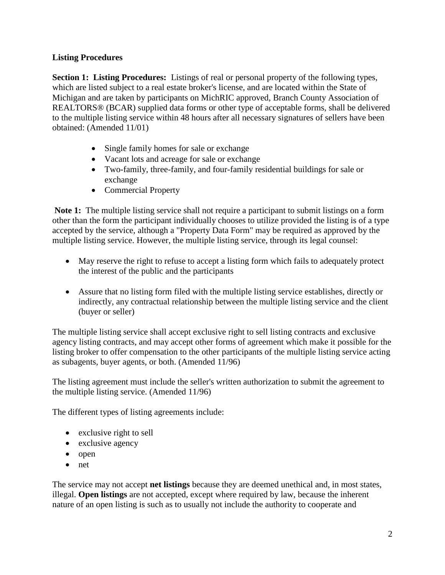# **Listing Procedures**

**Section 1: Listing Procedures:** Listings of real or personal property of the following types, which are listed subject to a real estate broker's license, and are located within the State of Michigan and are taken by participants on MichRIC approved, Branch County Association of REALTORS® (BCAR) supplied data forms or other type of acceptable forms, shall be delivered to the multiple listing service within 48 hours after all necessary signatures of sellers have been obtained: (Amended 11/01)

- Single family homes for sale or exchange
- Vacant lots and acreage for sale or exchange
- Two-family, three-family, and four-family residential buildings for sale or exchange
- Commercial Property

**Note 1:** The multiple listing service shall not require a participant to submit listings on a form other than the form the participant individually chooses to utilize provided the listing is of a type accepted by the service, although a "Property Data Form" may be required as approved by the multiple listing service. However, the multiple listing service, through its legal counsel:

- May reserve the right to refuse to accept a listing form which fails to adequately protect the interest of the public and the participants
- Assure that no listing form filed with the multiple listing service establishes, directly or indirectly, any contractual relationship between the multiple listing service and the client (buyer or seller)

The multiple listing service shall accept exclusive right to sell listing contracts and exclusive agency listing contracts, and may accept other forms of agreement which make it possible for the listing broker to offer compensation to the other participants of the multiple listing service acting as subagents, buyer agents, or both. (Amended 11/96)

The listing agreement must include the seller's written authorization to submit the agreement to the multiple listing service. (Amended 11/96)

The different types of listing agreements include:

- exclusive right to sell
- exclusive agency
- open
- net

The service may not accept **net listings** because they are deemed unethical and, in most states, illegal. **Open listings** are not accepted, except where required by law, because the inherent nature of an open listing is such as to usually not include the authority to cooperate and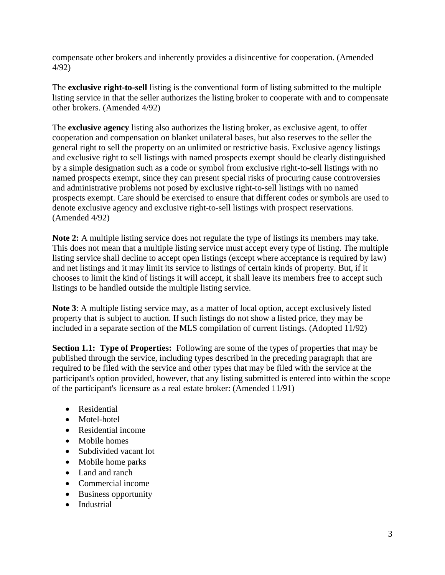compensate other brokers and inherently provides a disincentive for cooperation. (Amended 4/92)

The **exclusive right-to-sell** listing is the conventional form of listing submitted to the multiple listing service in that the seller authorizes the listing broker to cooperate with and to compensate other brokers. (Amended 4/92)

The **exclusive agency** listing also authorizes the listing broker, as exclusive agent, to offer cooperation and compensation on blanket unilateral bases, but also reserves to the seller the general right to sell the property on an unlimited or restrictive basis. Exclusive agency listings and exclusive right to sell listings with named prospects exempt should be clearly distinguished by a simple designation such as a code or symbol from exclusive right-to-sell listings with no named prospects exempt, since they can present special risks of procuring cause controversies and administrative problems not posed by exclusive right-to-sell listings with no named prospects exempt. Care should be exercised to ensure that different codes or symbols are used to denote exclusive agency and exclusive right-to-sell listings with prospect reservations. (Amended 4/92)

**Note 2:** A multiple listing service does not regulate the type of listings its members may take. This does not mean that a multiple listing service must accept every type of listing. The multiple listing service shall decline to accept open listings (except where acceptance is required by law) and net listings and it may limit its service to listings of certain kinds of property. But, if it chooses to limit the kind of listings it will accept, it shall leave its members free to accept such listings to be handled outside the multiple listing service.

**Note 3**: A multiple listing service may, as a matter of local option, accept exclusively listed property that is subject to auction. If such listings do not show a listed price, they may be included in a separate section of the MLS compilation of current listings. (Adopted 11/92)

**Section 1.1: Type of Properties:** Following are some of the types of properties that may be published through the service, including types described in the preceding paragraph that are required to be filed with the service and other types that may be filed with the service at the participant's option provided, however, that any listing submitted is entered into within the scope of the participant's licensure as a real estate broker: (Amended 11/91)

- Residential
- Motel-hotel
- Residential income
- Mobile homes
- Subdivided vacant lot
- Mobile home parks
- Land and ranch
- Commercial income
- Business opportunity
- Industrial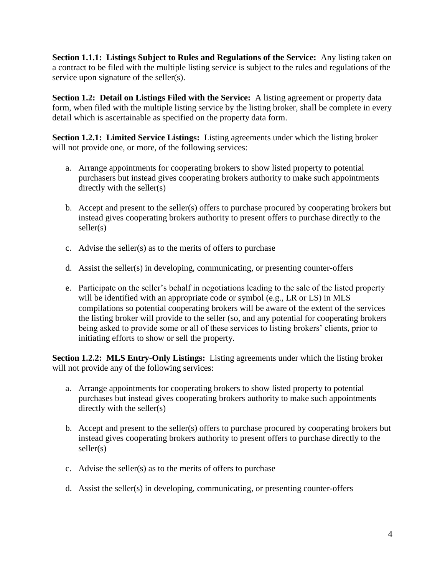**Section 1.1.1: Listings Subject to Rules and Regulations of the Service:** Any listing taken on a contract to be filed with the multiple listing service is subject to the rules and regulations of the service upon signature of the seller(s).

**Section 1.2: Detail on Listings Filed with the Service:** A listing agreement or property data form, when filed with the multiple listing service by the listing broker, shall be complete in every detail which is ascertainable as specified on the property data form.

**Section 1.2.1: Limited Service Listings:** Listing agreements under which the listing broker will not provide one, or more, of the following services:

- a. Arrange appointments for cooperating brokers to show listed property to potential purchasers but instead gives cooperating brokers authority to make such appointments directly with the seller(s)
- b. Accept and present to the seller(s) offers to purchase procured by cooperating brokers but instead gives cooperating brokers authority to present offers to purchase directly to the seller(s)
- c. Advise the seller(s) as to the merits of offers to purchase
- d. Assist the seller(s) in developing, communicating, or presenting counter-offers
- e. Participate on the seller's behalf in negotiations leading to the sale of the listed property will be identified with an appropriate code or symbol (e.g., LR or LS) in MLS compilations so potential cooperating brokers will be aware of the extent of the services the listing broker will provide to the seller (so, and any potential for cooperating brokers being asked to provide some or all of these services to listing brokers' clients, prior to initiating efforts to show or sell the property.

**Section 1.2.2: MLS Entry-Only Listings:** Listing agreements under which the listing broker will not provide any of the following services:

- a. Arrange appointments for cooperating brokers to show listed property to potential purchases but instead gives cooperating brokers authority to make such appointments directly with the seller(s)
- b. Accept and present to the seller(s) offers to purchase procured by cooperating brokers but instead gives cooperating brokers authority to present offers to purchase directly to the seller(s)
- c. Advise the seller(s) as to the merits of offers to purchase
- d. Assist the seller(s) in developing, communicating, or presenting counter-offers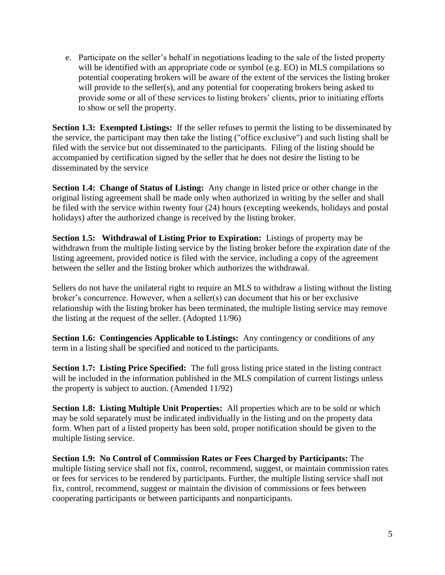e. Participate on the seller's behalf in negotiations leading to the sale of the listed property will be identified with an appropriate code or symbol (e.g. EO) in MLS compilations so potential cooperating brokers will be aware of the extent of the services the listing broker will provide to the seller(s), and any potential for cooperating brokers being asked to provide some or all of these services to listing brokers' clients, prior to initiating efforts to show or sell the property.

**Section 1.3: Exempted Listings:** If the seller refuses to permit the listing to be disseminated by the service, the participant may then take the listing ("office exclusive") and such listing shall be filed with the service but not disseminated to the participants. Filing of the listing should be accompanied by certification signed by the seller that he does not desire the listing to be disseminated by the service

**Section 1.4: Change of Status of Listing:** Any change in listed price or other change in the original listing agreement shall be made only when authorized in writing by the seller and shall be filed with the service within twenty four (24) hours (excepting weekends, holidays and postal holidays) after the authorized change is received by the listing broker.

**Section 1.5: Withdrawal of Listing Prior to Expiration:** Listings of property may be withdrawn from the multiple listing service by the listing broker before the expiration date of the listing agreement, provided notice is filed with the service, including a copy of the agreement between the seller and the listing broker which authorizes the withdrawal.

Sellers do not have the unilateral right to require an MLS to withdraw a listing without the listing broker's concurrence. However, when a seller(s) can document that his or her exclusive relationship with the listing broker has been terminated, the multiple listing service may remove the listing at the request of the seller. (Adopted 11/96)

**Section 1.6: Contingencies Applicable to Listings:** Any contingency or conditions of any term in a listing shall be specified and noticed to the participants.

**Section 1.7: Listing Price Specified:** The full gross listing price stated in the listing contract will be included in the information published in the MLS compilation of current listings unless the property is subject to auction. (Amended 11/92)

**Section 1.8: Listing Multiple Unit Properties:** All properties which are to be sold or which may be sold separately must be indicated individually in the listing and on the property data form. When part of a listed property has been sold, proper notification should be given to the multiple listing service.

**Section 1.9: No Control of Commission Rates or Fees Charged by Participants:** The multiple listing service shall not fix, control, recommend, suggest, or maintain commission rates or fees for services to be rendered by participants. Further, the multiple listing service shall not fix, control, recommend, suggest or maintain the division of commissions or fees between cooperating participants or between participants and nonparticipants.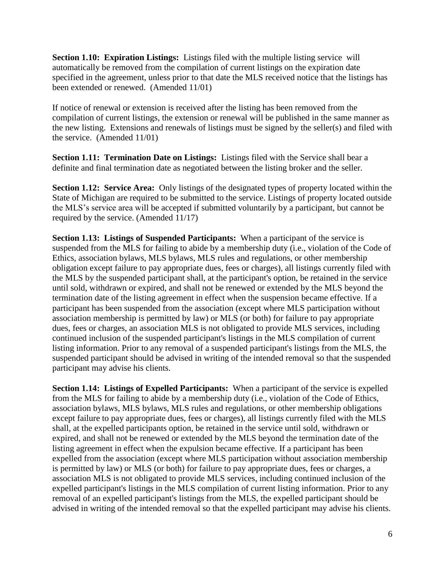**Section 1.10: Expiration Listings:** Listings filed with the multiple listing service will automatically be removed from the compilation of current listings on the expiration date specified in the agreement, unless prior to that date the MLS received notice that the listings has been extended or renewed. (Amended 11/01)

If notice of renewal or extension is received after the listing has been removed from the compilation of current listings, the extension or renewal will be published in the same manner as the new listing. Extensions and renewals of listings must be signed by the seller(s) and filed with the service. (Amended 11/01)

**Section 1.11: Termination Date on Listings:** Listings filed with the Service shall bear a definite and final termination date as negotiated between the listing broker and the seller.

**Section 1.12: Service Area:** Only listings of the designated types of property located within the State of Michigan are required to be submitted to the service. Listings of property located outside the MLS's service area will be accepted if submitted voluntarily by a participant, but cannot be required by the service. (Amended 11/17)

**Section 1.13: Listings of Suspended Participants:** When a participant of the service is suspended from the MLS for failing to abide by a membership duty (i.e., violation of the Code of Ethics, association bylaws, MLS bylaws, MLS rules and regulations, or other membership obligation except failure to pay appropriate dues, fees or charges), all listings currently filed with the MLS by the suspended participant shall, at the participant's option, be retained in the service until sold, withdrawn or expired, and shall not be renewed or extended by the MLS beyond the termination date of the listing agreement in effect when the suspension became effective. If a participant has been suspended from the association (except where MLS participation without association membership is permitted by law) or MLS (or both) for failure to pay appropriate dues, fees or charges, an association MLS is not obligated to provide MLS services, including continued inclusion of the suspended participant's listings in the MLS compilation of current listing information. Prior to any removal of a suspended participant's listings from the MLS, the suspended participant should be advised in writing of the intended removal so that the suspended participant may advise his clients.

**Section 1.14: Listings of Expelled Participants:** When a participant of the service is expelled from the MLS for failing to abide by a membership duty (i.e., violation of the Code of Ethics, association bylaws, MLS bylaws, MLS rules and regulations, or other membership obligations except failure to pay appropriate dues, fees or charges), all listings currently filed with the MLS shall, at the expelled participants option, be retained in the service until sold, withdrawn or expired, and shall not be renewed or extended by the MLS beyond the termination date of the listing agreement in effect when the expulsion became effective. If a participant has been expelled from the association (except where MLS participation without association membership is permitted by law) or MLS (or both) for failure to pay appropriate dues, fees or charges, a association MLS is not obligated to provide MLS services, including continued inclusion of the expelled participant's listings in the MLS compilation of current listing information. Prior to any removal of an expelled participant's listings from the MLS, the expelled participant should be advised in writing of the intended removal so that the expelled participant may advise his clients.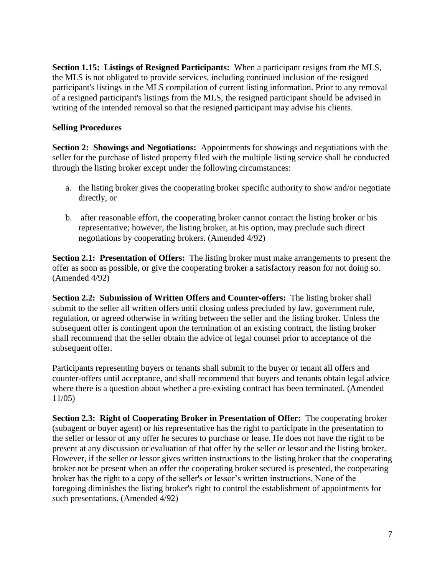**Section 1.15: Listings of Resigned Participants:** When a participant resigns from the MLS, the MLS is not obligated to provide services, including continued inclusion of the resigned participant's listings in the MLS compilation of current listing information. Prior to any removal of a resigned participant's listings from the MLS, the resigned participant should be advised in writing of the intended removal so that the resigned participant may advise his clients.

#### **Selling Procedures**

**Section 2: Showings and Negotiations:** Appointments for showings and negotiations with the seller for the purchase of listed property filed with the multiple listing service shall be conducted through the listing broker except under the following circumstances:

- a. the listing broker gives the cooperating broker specific authority to show and/or negotiate directly, or
- b. after reasonable effort, the cooperating broker cannot contact the listing broker or his representative; however, the listing broker, at his option, may preclude such direct negotiations by cooperating brokers. (Amended 4/92)

**Section 2.1: Presentation of Offers:** The listing broker must make arrangements to present the offer as soon as possible, or give the cooperating broker a satisfactory reason for not doing so. (Amended 4/92)

**Section 2.2: Submission of Written Offers and Counter-offers:** The listing broker shall submit to the seller all written offers until closing unless precluded by law, government rule, regulation, or agreed otherwise in writing between the seller and the listing broker. Unless the subsequent offer is contingent upon the termination of an existing contract, the listing broker shall recommend that the seller obtain the advice of legal counsel prior to acceptance of the subsequent offer.

Participants representing buyers or tenants shall submit to the buyer or tenant all offers and counter-offers until acceptance, and shall recommend that buyers and tenants obtain legal advice where there is a question about whether a pre-existing contract has been terminated. (Amended 11/05)

**Section 2.3: Right of Cooperating Broker in Presentation of Offer:** The cooperating broker (subagent or buyer agent) or his representative has the right to participate in the presentation to the seller or lessor of any offer he secures to purchase or lease. He does not have the right to be present at any discussion or evaluation of that offer by the seller or lessor and the listing broker. However, if the seller or lessor gives written instructions to the listing broker that the cooperating broker not be present when an offer the cooperating broker secured is presented, the cooperating broker has the right to a copy of the seller's or lessor's written instructions. None of the foregoing diminishes the listing broker's right to control the establishment of appointments for such presentations. (Amended 4/92)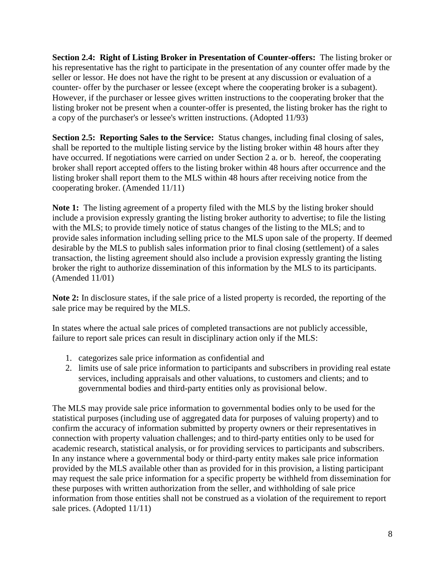**Section 2.4: Right of Listing Broker in Presentation of Counter-offers:** The listing broker or his representative has the right to participate in the presentation of any counter offer made by the seller or lessor. He does not have the right to be present at any discussion or evaluation of a counter- offer by the purchaser or lessee (except where the cooperating broker is a subagent). However, if the purchaser or lessee gives written instructions to the cooperating broker that the listing broker not be present when a counter-offer is presented, the listing broker has the right to a copy of the purchaser's or lessee's written instructions. (Adopted 11/93)

**Section 2.5: Reporting Sales to the Service:** Status changes, including final closing of sales, shall be reported to the multiple listing service by the listing broker within 48 hours after they have occurred. If negotiations were carried on under Section 2 a. or b. hereof, the cooperating broker shall report accepted offers to the listing broker within 48 hours after occurrence and the listing broker shall report them to the MLS within 48 hours after receiving notice from the cooperating broker. (Amended 11/11)

**Note 1:** The listing agreement of a property filed with the MLS by the listing broker should include a provision expressly granting the listing broker authority to advertise; to file the listing with the MLS; to provide timely notice of status changes of the listing to the MLS; and to provide sales information including selling price to the MLS upon sale of the property. If deemed desirable by the MLS to publish sales information prior to final closing (settlement) of a sales transaction, the listing agreement should also include a provision expressly granting the listing broker the right to authorize dissemination of this information by the MLS to its participants. (Amended 11/01)

**Note 2:** In disclosure states, if the sale price of a listed property is recorded, the reporting of the sale price may be required by the MLS.

In states where the actual sale prices of completed transactions are not publicly accessible, failure to report sale prices can result in disciplinary action only if the MLS:

- 1. categorizes sale price information as confidential and
- 2. limits use of sale price information to participants and subscribers in providing real estate services, including appraisals and other valuations, to customers and clients; and to governmental bodies and third-party entities only as provisional below.

The MLS may provide sale price information to governmental bodies only to be used for the statistical purposes (including use of aggregated data for purposes of valuing property) and to confirm the accuracy of information submitted by property owners or their representatives in connection with property valuation challenges; and to third-party entities only to be used for academic research, statistical analysis, or for providing services to participants and subscribers. In any instance where a governmental body or third-party entity makes sale price information provided by the MLS available other than as provided for in this provision, a listing participant may request the sale price information for a specific property be withheld from dissemination for these purposes with written authorization from the seller, and withholding of sale price information from those entities shall not be construed as a violation of the requirement to report sale prices. (Adopted 11/11)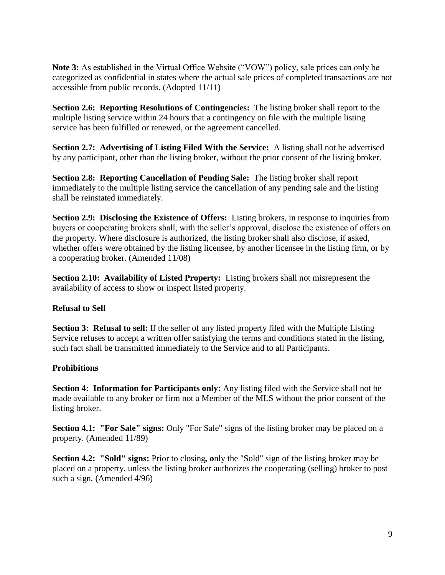**Note 3:** As established in the Virtual Office Website ("VOW") policy, sale prices can only be categorized as confidential in states where the actual sale prices of completed transactions are not accessible from public records. (Adopted 11/11)

**Section 2.6: Reporting Resolutions of Contingencies:** The listing broker shall report to the multiple listing service within 24 hours that a contingency on file with the multiple listing service has been fulfilled or renewed, or the agreement cancelled.

**Section 2.7: Advertising of Listing Filed With the Service:** A listing shall not be advertised by any participant, other than the listing broker, without the prior consent of the listing broker.

**Section 2.8: Reporting Cancellation of Pending Sale:** The listing broker shall report immediately to the multiple listing service the cancellation of any pending sale and the listing shall be reinstated immediately.

**Section 2.9: Disclosing the Existence of Offers:** Listing brokers, in response to inquiries from buyers or cooperating brokers shall, with the seller's approval, disclose the existence of offers on the property. Where disclosure is authorized, the listing broker shall also disclose, if asked, whether offers were obtained by the listing licensee, by another licensee in the listing firm, or by a cooperating broker. (Amended 11/08)

**Section 2.10: Availability of Listed Property:** Listing brokers shall not misrepresent the availability of access to show or inspect listed property.

## **Refusal to Sell**

**Section 3: Refusal to sell:** If the seller of any listed property filed with the Multiple Listing Service refuses to accept a written offer satisfying the terms and conditions stated in the listing, such fact shall be transmitted immediately to the Service and to all Participants.

## **Prohibitions**

**Section 4: Information for Participants only:** Any listing filed with the Service shall not be made available to any broker or firm not a Member of the MLS without the prior consent of the listing broker.

**Section 4.1: "For Sale" signs:** Only "For Sale" signs of the listing broker may be placed on a property. (Amended 11/89)

**Section 4.2: "Sold" signs:** Prior to closing*,* **o**nly the "Sold" sign of the listing broker may be placed on a property, unless the listing broker authorizes the cooperating (selling) broker to post such a sign*.* (Amended 4/96)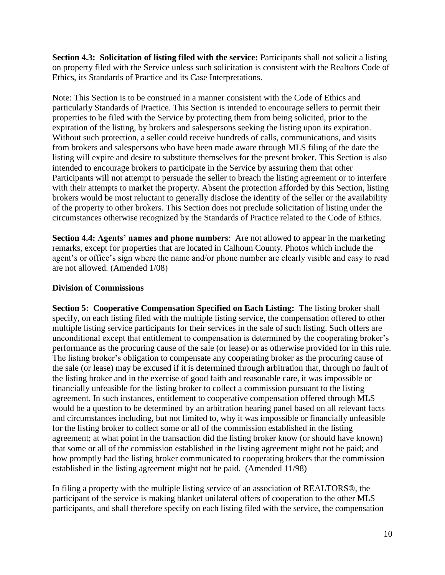**Section 4.3: Solicitation of listing filed with the service:** Participants shall not solicit a listing on property filed with the Service unless such solicitation is consistent with the Realtors Code of Ethics, its Standards of Practice and its Case Interpretations.

Note: This Section is to be construed in a manner consistent with the Code of Ethics and particularly Standards of Practice. This Section is intended to encourage sellers to permit their properties to be filed with the Service by protecting them from being solicited, prior to the expiration of the listing, by brokers and salespersons seeking the listing upon its expiration. Without such protection, a seller could receive hundreds of calls, communications, and visits from brokers and salespersons who have been made aware through MLS filing of the date the listing will expire and desire to substitute themselves for the present broker. This Section is also intended to encourage brokers to participate in the Service by assuring them that other Participants will not attempt to persuade the seller to breach the listing agreement or to interfere with their attempts to market the property. Absent the protection afforded by this Section, listing brokers would be most reluctant to generally disclose the identity of the seller or the availability of the property to other brokers. This Section does not preclude solicitation of listing under the circumstances otherwise recognized by the Standards of Practice related to the Code of Ethics.

**Section 4.4: Agents' names and phone numbers**: Are not allowed to appear in the marketing remarks, except for properties that are located in Calhoun County. Photos which include the agent's or office's sign where the name and/or phone number are clearly visible and easy to read are not allowed. (Amended 1/08)

## **Division of Commissions**

**Section 5: Cooperative Compensation Specified on Each Listing:** The listing broker shall specify, on each listing filed with the multiple listing service, the compensation offered to other multiple listing service participants for their services in the sale of such listing. Such offers are unconditional except that entitlement to compensation is determined by the cooperating broker's performance as the procuring cause of the sale (or lease) or as otherwise provided for in this rule. The listing broker's obligation to compensate any cooperating broker as the procuring cause of the sale (or lease) may be excused if it is determined through arbitration that, through no fault of the listing broker and in the exercise of good faith and reasonable care, it was impossible or financially unfeasible for the listing broker to collect a commission pursuant to the listing agreement. In such instances, entitlement to cooperative compensation offered through MLS would be a question to be determined by an arbitration hearing panel based on all relevant facts and circumstances including, but not limited to, why it was impossible or financially unfeasible for the listing broker to collect some or all of the commission established in the listing agreement; at what point in the transaction did the listing broker know (or should have known) that some or all of the commission established in the listing agreement might not be paid; and how promptly had the listing broker communicated to cooperating brokers that the commission established in the listing agreement might not be paid. (Amended 11/98)

In filing a property with the multiple listing service of an association of REALTORS®, the participant of the service is making blanket unilateral offers of cooperation to the other MLS participants, and shall therefore specify on each listing filed with the service, the compensation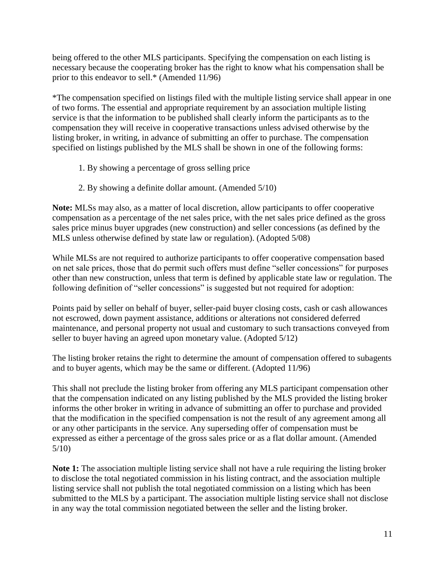being offered to the other MLS participants. Specifying the compensation on each listing is necessary because the cooperating broker has the right to know what his compensation shall be prior to this endeavor to sell.\* (Amended 11/96)

\*The compensation specified on listings filed with the multiple listing service shall appear in one of two forms. The essential and appropriate requirement by an association multiple listing service is that the information to be published shall clearly inform the participants as to the compensation they will receive in cooperative transactions unless advised otherwise by the listing broker, in writing, in advance of submitting an offer to purchase. The compensation specified on listings published by the MLS shall be shown in one of the following forms:

- 1. By showing a percentage of gross selling price
- 2. By showing a definite dollar amount. (Amended 5/10)

**Note:** MLSs may also, as a matter of local discretion, allow participants to offer cooperative compensation as a percentage of the net sales price, with the net sales price defined as the gross sales price minus buyer upgrades (new construction) and seller concessions (as defined by the MLS unless otherwise defined by state law or regulation). (Adopted 5/08)

While MLSs are not required to authorize participants to offer cooperative compensation based on net sale prices, those that do permit such offers must define "seller concessions" for purposes other than new construction, unless that term is defined by applicable state law or regulation. The following definition of "seller concessions" is suggested but not required for adoption:

Points paid by seller on behalf of buyer, seller-paid buyer closing costs, cash or cash allowances not escrowed, down payment assistance, additions or alterations not considered deferred maintenance, and personal property not usual and customary to such transactions conveyed from seller to buyer having an agreed upon monetary value. (Adopted 5/12)

The listing broker retains the right to determine the amount of compensation offered to subagents and to buyer agents, which may be the same or different. (Adopted 11/96)

This shall not preclude the listing broker from offering any MLS participant compensation other that the compensation indicated on any listing published by the MLS provided the listing broker informs the other broker in writing in advance of submitting an offer to purchase and provided that the modification in the specified compensation is not the result of any agreement among all or any other participants in the service. Any superseding offer of compensation must be expressed as either a percentage of the gross sales price or as a flat dollar amount. (Amended 5/10)

**Note 1:** The association multiple listing service shall not have a rule requiring the listing broker to disclose the total negotiated commission in his listing contract, and the association multiple listing service shall not publish the total negotiated commission on a listing which has been submitted to the MLS by a participant. The association multiple listing service shall not disclose in any way the total commission negotiated between the seller and the listing broker.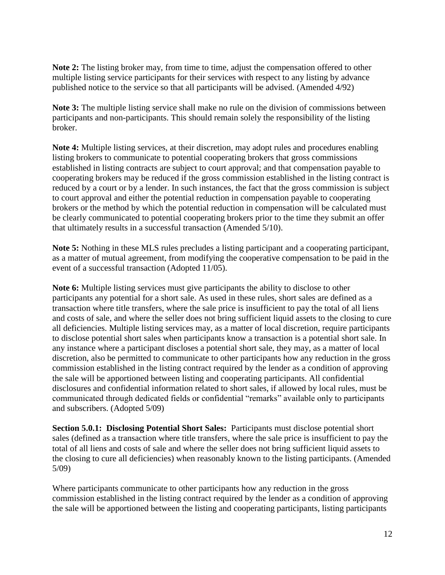**Note 2:** The listing broker may, from time to time, adjust the compensation offered to other multiple listing service participants for their services with respect to any listing by advance published notice to the service so that all participants will be advised. (Amended 4/92)

**Note 3:** The multiple listing service shall make no rule on the division of commissions between participants and non-participants. This should remain solely the responsibility of the listing broker.

**Note 4:** Multiple listing services, at their discretion, may adopt rules and procedures enabling listing brokers to communicate to potential cooperating brokers that gross commissions established in listing contracts are subject to court approval; and that compensation payable to cooperating brokers may be reduced if the gross commission established in the listing contract is reduced by a court or by a lender. In such instances, the fact that the gross commission is subject to court approval and either the potential reduction in compensation payable to cooperating brokers or the method by which the potential reduction in compensation will be calculated must be clearly communicated to potential cooperating brokers prior to the time they submit an offer that ultimately results in a successful transaction (Amended 5/10).

**Note 5:** Nothing in these MLS rules precludes a listing participant and a cooperating participant, as a matter of mutual agreement, from modifying the cooperative compensation to be paid in the event of a successful transaction (Adopted 11/05).

**Note 6:** Multiple listing services must give participants the ability to disclose to other participants any potential for a short sale. As used in these rules, short sales are defined as a transaction where title transfers, where the sale price is insufficient to pay the total of all liens and costs of sale, and where the seller does not bring sufficient liquid assets to the closing to cure all deficiencies. Multiple listing services may, as a matter of local discretion, require participants to disclose potential short sales when participants know a transaction is a potential short sale. In any instance where a participant discloses a potential short sale, they may, as a matter of local discretion, also be permitted to communicate to other participants how any reduction in the gross commission established in the listing contract required by the lender as a condition of approving the sale will be apportioned between listing and cooperating participants. All confidential disclosures and confidential information related to short sales, if allowed by local rules, must be communicated through dedicated fields or confidential "remarks" available only to participants and subscribers. (Adopted 5/09)

**Section 5.0.1: Disclosing Potential Short Sales:** Participants must disclose potential short sales (defined as a transaction where title transfers, where the sale price is insufficient to pay the total of all liens and costs of sale and where the seller does not bring sufficient liquid assets to the closing to cure all deficiencies) when reasonably known to the listing participants. (Amended 5/09)

Where participants communicate to other participants how any reduction in the gross commission established in the listing contract required by the lender as a condition of approving the sale will be apportioned between the listing and cooperating participants, listing participants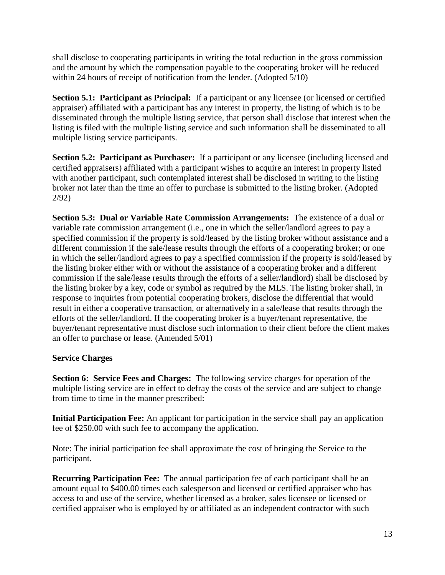shall disclose to cooperating participants in writing the total reduction in the gross commission and the amount by which the compensation payable to the cooperating broker will be reduced within 24 hours of receipt of notification from the lender. (Adopted 5/10)

**Section 5.1: Participant as Principal:** If a participant or any licensee (or licensed or certified appraiser) affiliated with a participant has any interest in property, the listing of which is to be disseminated through the multiple listing service, that person shall disclose that interest when the listing is filed with the multiple listing service and such information shall be disseminated to all multiple listing service participants.

**Section 5.2: Participant as Purchaser:** If a participant or any licensee (including licensed and certified appraisers) affiliated with a participant wishes to acquire an interest in property listed with another participant, such contemplated interest shall be disclosed in writing to the listing broker not later than the time an offer to purchase is submitted to the listing broker. (Adopted 2/92)

**Section 5.3: Dual or Variable Rate Commission Arrangements:** The existence of a dual or variable rate commission arrangement (i.e., one in which the seller/landlord agrees to pay a specified commission if the property is sold/leased by the listing broker without assistance and a different commission if the sale/lease results through the efforts of a cooperating broker; or one in which the seller/landlord agrees to pay a specified commission if the property is sold/leased by the listing broker either with or without the assistance of a cooperating broker and a different commission if the sale/lease results through the efforts of a seller/landlord) shall be disclosed by the listing broker by a key, code or symbol as required by the MLS. The listing broker shall, in response to inquiries from potential cooperating brokers, disclose the differential that would result in either a cooperative transaction, or alternatively in a sale/lease that results through the efforts of the seller/landlord. If the cooperating broker is a buyer/tenant representative, the buyer/tenant representative must disclose such information to their client before the client makes an offer to purchase or lease. (Amended 5/01)

## **Service Charges**

**Section 6: Service Fees and Charges:** The following service charges for operation of the multiple listing service are in effect to defray the costs of the service and are subject to change from time to time in the manner prescribed:

**Initial Participation Fee:** An applicant for participation in the service shall pay an application fee of \$250.00 with such fee to accompany the application.

Note: The initial participation fee shall approximate the cost of bringing the Service to the participant.

**Recurring Participation Fee:** The annual participation fee of each participant shall be an amount equal to \$400.00 times each salesperson and licensed or certified appraiser who has access to and use of the service, whether licensed as a broker, sales licensee or licensed or certified appraiser who is employed by or affiliated as an independent contractor with such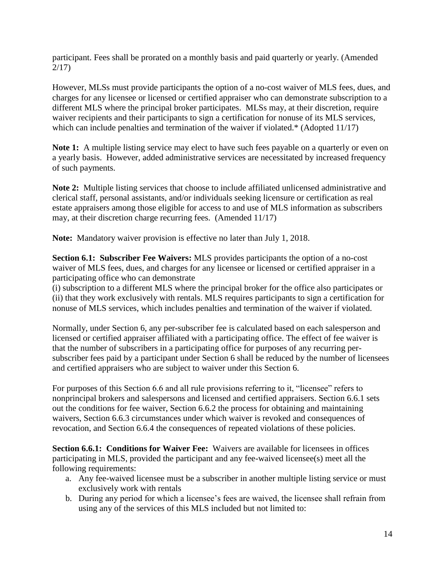participant. Fees shall be prorated on a monthly basis and paid quarterly or yearly. (Amended 2/17)

However, MLSs must provide participants the option of a no-cost waiver of MLS fees, dues, and charges for any licensee or licensed or certified appraiser who can demonstrate subscription to a different MLS where the principal broker participates. MLSs may, at their discretion, require waiver recipients and their participants to sign a certification for nonuse of its MLS services, which can include penalties and termination of the waiver if violated.\* (Adopted 11/17)

**Note 1:** A multiple listing service may elect to have such fees payable on a quarterly or even on a yearly basis. However, added administrative services are necessitated by increased frequency of such payments.

**Note 2:** Multiple listing services that choose to include affiliated unlicensed administrative and clerical staff, personal assistants, and/or individuals seeking licensure or certification as real estate appraisers among those eligible for access to and use of MLS information as subscribers may, at their discretion charge recurring fees. (Amended 11/17)

**Note:** Mandatory waiver provision is effective no later than July 1, 2018.

**Section 6.1: Subscriber Fee Waivers:** MLS provides participants the option of a no-cost waiver of MLS fees, dues, and charges for any licensee or licensed or certified appraiser in a participating office who can demonstrate

(i) subscription to a different MLS where the principal broker for the office also participates or (ii) that they work exclusively with rentals. MLS requires participants to sign a certification for nonuse of MLS services, which includes penalties and termination of the waiver if violated.

Normally, under Section 6, any per-subscriber fee is calculated based on each salesperson and licensed or certified appraiser affiliated with a participating office. The effect of fee waiver is that the number of subscribers in a participating office for purposes of any recurring persubscriber fees paid by a participant under Section 6 shall be reduced by the number of licensees and certified appraisers who are subject to waiver under this Section 6.

For purposes of this Section 6.6 and all rule provisions referring to it, "licensee" refers to nonprincipal brokers and salespersons and licensed and certified appraisers. Section 6.6.1 sets out the conditions for fee waiver, Section 6.6.2 the process for obtaining and maintaining waivers, Section 6.6.3 circumstances under which waiver is revoked and consequences of revocation, and Section 6.6.4 the consequences of repeated violations of these policies.

**Section 6.6.1: Conditions for Waiver Fee:** Waivers are available for licensees in offices participating in MLS, provided the participant and any fee-waived licensee(s) meet all the following requirements:

- a. Any fee-waived licensee must be a subscriber in another multiple listing service or must exclusively work with rentals
- b. During any period for which a licensee's fees are waived, the licensee shall refrain from using any of the services of this MLS included but not limited to: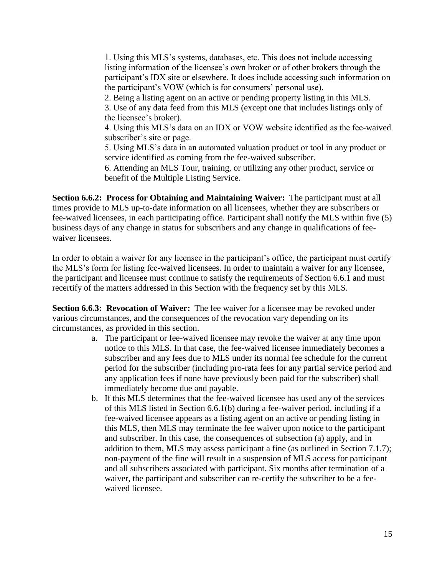1. Using this MLS's systems, databases, etc. This does not include accessing listing information of the licensee's own broker or of other brokers through the participant's IDX site or elsewhere. It does include accessing such information on the participant's VOW (which is for consumers' personal use). 2. Being a listing agent on an active or pending property listing in this MLS. 3. Use of any data feed from this MLS (except one that includes listings only of the licensee's broker).

4. Using this MLS's data on an IDX or VOW website identified as the fee-waived subscriber's site or page.

5. Using MLS's data in an automated valuation product or tool in any product or service identified as coming from the fee-waived subscriber.

6. Attending an MLS Tour, training, or utilizing any other product, service or benefit of the Multiple Listing Service.

**Section 6.6.2: Process for Obtaining and Maintaining Waiver:** The participant must at all times provide to MLS up-to-date information on all licensees, whether they are subscribers or fee-waived licensees, in each participating office. Participant shall notify the MLS within five (5) business days of any change in status for subscribers and any change in qualifications of feewaiver licensees.

In order to obtain a waiver for any licensee in the participant's office, the participant must certify the MLS's form for listing fee-waived licensees. In order to maintain a waiver for any licensee, the participant and licensee must continue to satisfy the requirements of Section 6.6.1 and must recertify of the matters addressed in this Section with the frequency set by this MLS.

**Section 6.6.3: Revocation of Waiver:** The fee waiver for a licensee may be revoked under various circumstances, and the consequences of the revocation vary depending on its circumstances, as provided in this section.

- a. The participant or fee-waived licensee may revoke the waiver at any time upon notice to this MLS. In that case, the fee-waived licensee immediately becomes a subscriber and any fees due to MLS under its normal fee schedule for the current period for the subscriber (including pro-rata fees for any partial service period and any application fees if none have previously been paid for the subscriber) shall immediately become due and payable.
- b. If this MLS determines that the fee-waived licensee has used any of the services of this MLS listed in Section 6.6.1(b) during a fee-waiver period, including if a fee-waived licensee appears as a listing agent on an active or pending listing in this MLS, then MLS may terminate the fee waiver upon notice to the participant and subscriber. In this case, the consequences of subsection (a) apply, and in addition to them, MLS may assess participant a fine (as outlined in Section 7.1.7); non-payment of the fine will result in a suspension of MLS access for participant and all subscribers associated with participant. Six months after termination of a waiver, the participant and subscriber can re-certify the subscriber to be a feewaived licensee.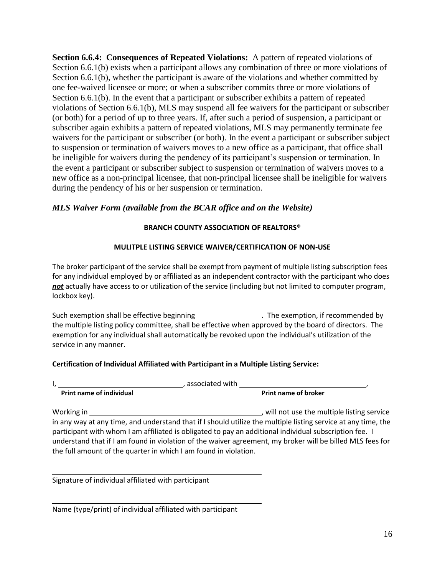**Section 6.6.4: Consequences of Repeated Violations:** A pattern of repeated violations of Section 6.6.1(b) exists when a participant allows any combination of three or more violations of Section 6.6.1(b), whether the participant is aware of the violations and whether committed by one fee-waived licensee or more; or when a subscriber commits three or more violations of Section 6.6.1(b). In the event that a participant or subscriber exhibits a pattern of repeated violations of Section 6.6.1(b), MLS may suspend all fee waivers for the participant or subscriber (or both) for a period of up to three years. If, after such a period of suspension, a participant or subscriber again exhibits a pattern of repeated violations, MLS may permanently terminate fee waivers for the participant or subscriber (or both). In the event a participant or subscriber subject to suspension or termination of waivers moves to a new office as a participant, that office shall be ineligible for waivers during the pendency of its participant's suspension or termination. In the event a participant or subscriber subject to suspension or termination of waivers moves to a new office as a non-principal licensee, that non-principal licensee shall be ineligible for waivers during the pendency of his or her suspension or termination.

## *MLS Waiver Form (available from the BCAR office and on the Website)*

#### **BRANCH COUNTY ASSOCIATION OF REALTORS®**

#### **MULITPLE LISTING SERVICE WAIVER/CERTIFICATION OF NON-USE**

The broker participant of the service shall be exempt from payment of multiple listing subscription fees for any individual employed by or affiliated as an independent contractor with the participant who does *not* actually have access to or utilization of the service (including but not limited to computer program, lockbox key).

Such exemption shall be effective beginning ... The exemption, if recommended by the multiple listing policy committee, shall be effective when approved by the board of directors. The exemption for any individual shall automatically be revoked upon the individual's utilization of the service in any manner.

#### **Certification of Individual Affiliated with Participant in a Multiple Listing Service:**

I, , associated with ,

Working in  $\blacksquare$  working in the multiple listing service in any way at any time, and understand that if I should utilize the multiple listing service at any time, the participant with whom I am affiliated is obligated to pay an additional individual subscription fee. I understand that if I am found in violation of the waiver agreement, my broker will be billed MLS fees for the full amount of the quarter in which I am found in violation.

Signature of individual affiliated with participant

**Print name of individual** 

Name (type/print) of individual affiliated with participant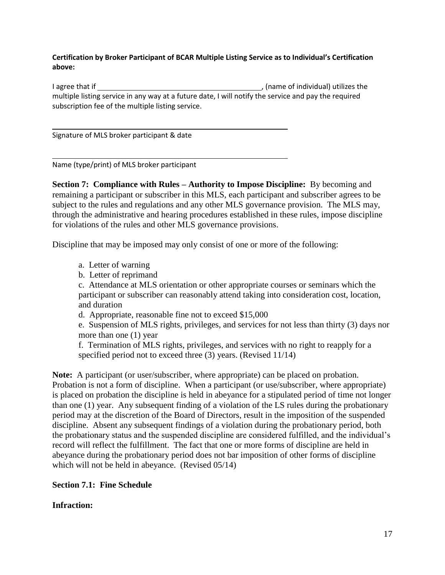#### **Certification by Broker Participant of BCAR Multiple Listing Service as to Individual's Certification above:**

I agree that if  $\frac{1}{2}$  (name of individual) utilizes the multiple listing service in any way at a future date, I will notify the service and pay the required subscription fee of the multiple listing service.

Signature of MLS broker participant & date

Name (type/print) of MLS broker participant

**Section 7: Compliance with Rules – Authority to Impose Discipline:** By becoming and remaining a participant or subscriber in this MLS, each participant and subscriber agrees to be subject to the rules and regulations and any other MLS governance provision. The MLS may, through the administrative and hearing procedures established in these rules, impose discipline for violations of the rules and other MLS governance provisions.

Discipline that may be imposed may only consist of one or more of the following:

- a. Letter of warning
- b. Letter of reprimand

c. Attendance at MLS orientation or other appropriate courses or seminars which the participant or subscriber can reasonably attend taking into consideration cost, location, and duration

d. Appropriate, reasonable fine not to exceed \$15,000

e. Suspension of MLS rights, privileges, and services for not less than thirty (3) days nor more than one (1) year

f. Termination of MLS rights, privileges, and services with no right to reapply for a specified period not to exceed three (3) years. (Revised 11/14)

**Note:** A participant (or user/subscriber, where appropriate) can be placed on probation. Probation is not a form of discipline. When a participant (or use/subscriber, where appropriate) is placed on probation the discipline is held in abeyance for a stipulated period of time not longer than one (1) year. Any subsequent finding of a violation of the LS rules during the probationary period may at the discretion of the Board of Directors, result in the imposition of the suspended discipline. Absent any subsequent findings of a violation during the probationary period, both the probationary status and the suspended discipline are considered fulfilled, and the individual's record will reflect the fulfillment. The fact that one or more forms of discipline are held in abeyance during the probationary period does not bar imposition of other forms of discipline which will not be held in abeyance. (Revised 05/14)

**Section 7.1: Fine Schedule**

## **Infraction:**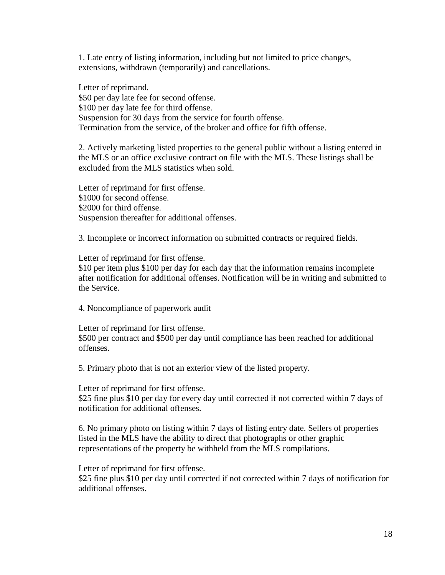1. Late entry of listing information, including but not limited to price changes, extensions, withdrawn (temporarily) and cancellations.

Letter of reprimand. \$50 per day late fee for second offense. \$100 per day late fee for third offense. Suspension for 30 days from the service for fourth offense. Termination from the service, of the broker and office for fifth offense.

2. Actively marketing listed properties to the general public without a listing entered in the MLS or an office exclusive contract on file with the MLS. These listings shall be excluded from the MLS statistics when sold.

Letter of reprimand for first offense. \$1000 for second offense. \$2000 for third offense. Suspension thereafter for additional offenses.

3. Incomplete or incorrect information on submitted contracts or required fields.

Letter of reprimand for first offense.

\$10 per item plus \$100 per day for each day that the information remains incomplete after notification for additional offenses. Notification will be in writing and submitted to the Service.

4. Noncompliance of paperwork audit

Letter of reprimand for first offense. \$500 per contract and \$500 per day until compliance has been reached for additional offenses.

5. Primary photo that is not an exterior view of the listed property.

Letter of reprimand for first offense.

\$25 fine plus \$10 per day for every day until corrected if not corrected within 7 days of notification for additional offenses.

6. No primary photo on listing within 7 days of listing entry date. Sellers of properties listed in the MLS have the ability to direct that photographs or other graphic representations of the property be withheld from the MLS compilations.

Letter of reprimand for first offense.

\$25 fine plus \$10 per day until corrected if not corrected within 7 days of notification for additional offenses.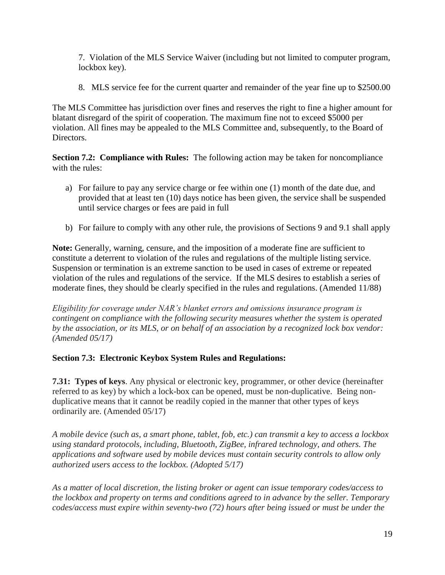7. Violation of the MLS Service Waiver (including but not limited to computer program, lockbox key).

8. MLS service fee for the current quarter and remainder of the year fine up to \$2500.00

The MLS Committee has jurisdiction over fines and reserves the right to fine a higher amount for blatant disregard of the spirit of cooperation. The maximum fine not to exceed \$5000 per violation. All fines may be appealed to the MLS Committee and, subsequently, to the Board of Directors.

**Section 7.2: Compliance with Rules:** The following action may be taken for noncompliance with the rules:

- a) For failure to pay any service charge or fee within one (1) month of the date due, and provided that at least ten (10) days notice has been given, the service shall be suspended until service charges or fees are paid in full
- b) For failure to comply with any other rule, the provisions of Sections 9 and 9.1 shall apply

**Note:** Generally, warning, censure, and the imposition of a moderate fine are sufficient to constitute a deterrent to violation of the rules and regulations of the multiple listing service. Suspension or termination is an extreme sanction to be used in cases of extreme or repeated violation of the rules and regulations of the service. If the MLS desires to establish a series of moderate fines, they should be clearly specified in the rules and regulations. (Amended 11/88)

*Eligibility for coverage under NAR's blanket errors and omissions insurance program is contingent on compliance with the following security measures whether the system is operated by the association, or its MLS, or on behalf of an association by a recognized lock box vendor: (Amended 05/17)*

# **Section 7.3: Electronic Keybox System Rules and Regulations:**

**7.31: Types of keys**. Any physical or electronic key, programmer, or other device (hereinafter referred to as key) by which a lock-box can be opened, must be non-duplicative. Being nonduplicative means that it cannot be readily copied in the manner that other types of keys ordinarily are. (Amended 05/17)

*A mobile device (such as, a smart phone, tablet, fob, etc.) can transmit a key to access a lockbox using standard protocols, including, Bluetooth, ZigBee, infrared technology, and others. The applications and software used by mobile devices must contain security controls to allow only authorized users access to the lockbox. (Adopted 5/17)*

*As a matter of local discretion, the listing broker or agent can issue temporary codes/access to the lockbox and property on terms and conditions agreed to in advance by the seller. Temporary codes/access must expire within seventy-two (72) hours after being issued or must be under the*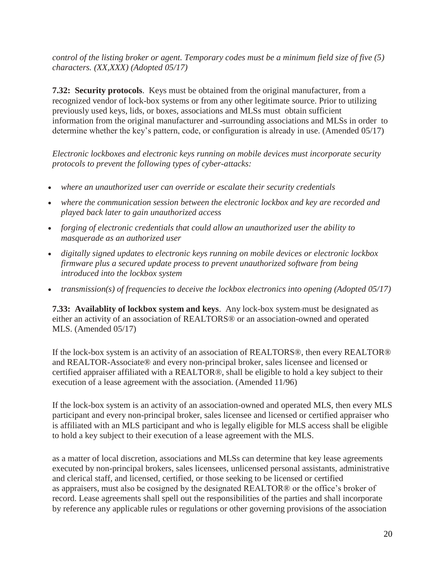*control of the listing broker or agent. Temporary codes must be a minimum field size of five (5) characters. (XX,XXX) (Adopted 05/17)*

**7.32: Security protocols**. Keys must be obtained from the original manufacturer, from a recognized vendor of lock-box systems or from any other legitimate source. Prior to utilizing previously used keys, lids, or boxes, associations and MLSs must obtain sufficient information from the original manufacturer and surrounding associations and MLSs in order to determine whether the key's pattern, code, or configuration is already in use. (Amended 05/17)

*Electronic lockboxes and electronic keys running on mobile devices must incorporate security protocols to prevent the following types of cyber-attacks:*

- *where an unauthorized user can override or escalate their security credentials*
- *where the communication session between the electronic lockbox and key are recorded and played back later to gain unauthorized access*
- *forging of electronic credentials that could allow an unauthorized user the ability to masquerade as an authorized user*
- *digitally signed updates to electronic keys running on mobile devices or electronic lockbox firmware plus a secured update process to prevent unauthorized software from being introduced into the lockbox system*
- *transmission(s) of frequencies to deceive the lockbox electronics into opening (Adopted 05/17)*

**7.33: Availablity of lockbox system and keys.** Any lock-box system-must be designated as either an activity of an association of REALTORS® or an association-owned and operated MLS. (Amended 05/17)

If the lock-box system is an activity of an association of REALTORS®, then every REALTOR® and REALTOR-Associate® and every non-principal broker, sales licensee and licensed or certified appraiser affiliated with a REALTOR®, shall be eligible to hold a key subject to their execution of a lease agreement with the association. (Amended 11/96)

If the lock-box system is an activity of an association-owned and operated MLS, then every MLS participant and every non-principal broker, sales licensee and licensed or certified appraiser who is affiliated with an MLS participant and who is legally eligible for MLS access shall be eligible to hold a key subject to their execution of a lease agreement with the MLS.

as a matter of local discretion, associations and MLSs can determine that key lease agreements executed by non-principal brokers, sales licensees, unlicensed personal assistants, administrative and clerical staff, and licensed, certified, or those seeking to be licensed or certified as appraisers, must also be cosigned by the designated REALTOR® or the office's broker of record. Lease agreements shall spell out the responsibilities of the parties and shall incorporate by reference any applicable rules or regulations or other governing provisions of the association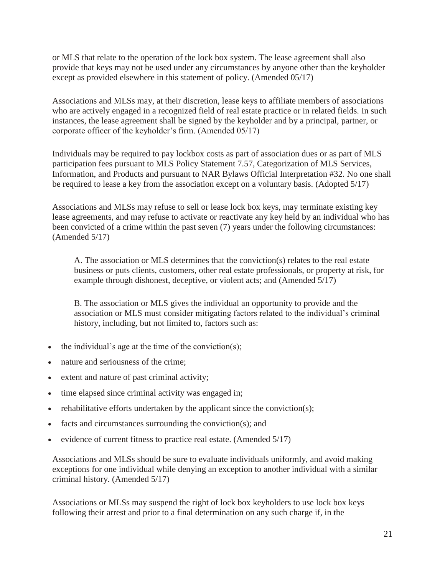or MLS that relate to the operation of the lock box system. The lease agreement shall also provide that keys may not be used under any circumstances by anyone other than the keyholder except as provided elsewhere in this statement of policy. (Amended 05/17)

Associations and MLSs may, at their discretion, lease keys to affiliate members of associations who are actively engaged in a recognized field of real estate practice or in related fields. In such instances, the lease agreement shall be signed by the keyholder and by a principal, partner, or corporate officer of the keyholder's firm. (Amended 05/17)

Individuals may be required to pay lockbox costs as part of association dues or as part of MLS participation fees pursuant to MLS Policy Statement 7.57, Categorization of MLS Services, Information, and Products and pursuant to NAR Bylaws Official Interpretation #32. No one shall be required to lease a key from the association except on a voluntary basis. (Adopted 5/17)

Associations and MLSs may refuse to sell or lease lock box keys, may terminate existing key lease agreements, and may refuse to activate or reactivate any key held by an individual who has been convicted of a crime within the past seven (7) years under the following circumstances: (Amended 5/17)

A. The association or MLS determines that the conviction(s) relates to the real estate business or puts clients, customers, other real estate professionals, or property at risk, for example through dishonest, deceptive, or violent acts; and (Amended 5/17)

B. The association or MLS gives the individual an opportunity to provide and the association or MLS must consider mitigating factors related to the individual's criminal history, including, but not limited to, factors such as:

- the individual's age at the time of the conviction(s);
- nature and seriousness of the crime;
- extent and nature of past criminal activity;
- time elapsed since criminal activity was engaged in;
- rehabilitative efforts undertaken by the applicant since the conviction(s);
- facts and circumstances surrounding the conviction(s); and
- evidence of current fitness to practice real estate. (Amended 5/17)

Associations and MLSs should be sure to evaluate individuals uniformly, and avoid making exceptions for one individual while denying an exception to another individual with a similar criminal history. (Amended 5/17)

Associations or MLSs may suspend the right of lock box keyholders to use lock box keys following their arrest and prior to a final determination on any such charge if, in the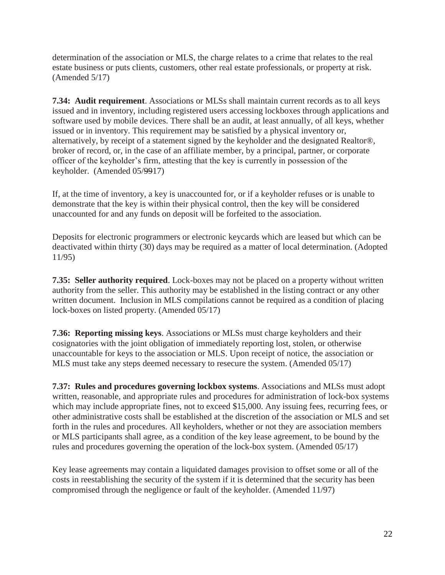determination of the association or MLS, the charge relates to a crime that relates to the real estate business or puts clients, customers, other real estate professionals, or property at risk. (Amended 5/17)

**7.34: Audit requirement**. Associations or MLSs shall maintain current records as to all keys issued and in inventory, including registered users accessing lockboxes through applications and software used by mobile devices. There shall be an audit, at least annually, of all keys, whether issued or in inventory. This requirement may be satisfied by a physical inventory or, alternatively, by receipt of a statement signed by the keyholder and the designated Realtor®, broker of record, or, in the case of an affiliate member, by a principal, partner, or corporate officer of the keyholder's firm, attesting that the key is currently in possession of the keyholder. (Amended 05/9917)

If, at the time of inventory, a key is unaccounted for, or if a keyholder refuses or is unable to demonstrate that the key is within their physical control, then the key will be considered unaccounted for and any funds on deposit will be forfeited to the association.

Deposits for electronic programmers or electronic keycards which are leased but which can be deactivated within thirty (30) days may be required as a matter of local determination. (Adopted 11/95)

**7.35: Seller authority required**. Lock-boxes may not be placed on a property without written authority from the seller. This authority may be established in the listing contract or any other written document. Inclusion in MLS compilations cannot be required as a condition of placing lock-boxes on listed property. (Amended 05/17)

**7.36: Reporting missing keys**. Associations or MLSs must charge keyholders and their cosignatories with the joint obligation of immediately reporting lost, stolen, or otherwise unaccountable for keys to the association or MLS. Upon receipt of notice, the association or MLS must take any steps deemed necessary to resecure the system. (Amended 05/17)

**7.37: Rules and procedures governing lockbox systems**. Associations and MLSs must adopt written, reasonable, and appropriate rules and procedures for administration of lock-box systems which may include appropriate fines, not to exceed \$15,000. Any issuing fees, recurring fees, or other administrative costs shall be established at the discretion of the association or MLS and set forth in the rules and procedures. All keyholders, whether or not they are association members or MLS participants shall agree, as a condition of the key lease agreement, to be bound by the rules and procedures governing the operation of the lock-box system. (Amended 05/17)

Key lease agreements may contain a liquidated damages provision to offset some or all of the costs in reestablishing the security of the system if it is determined that the security has been compromised through the negligence or fault of the keyholder. (Amended 11/97)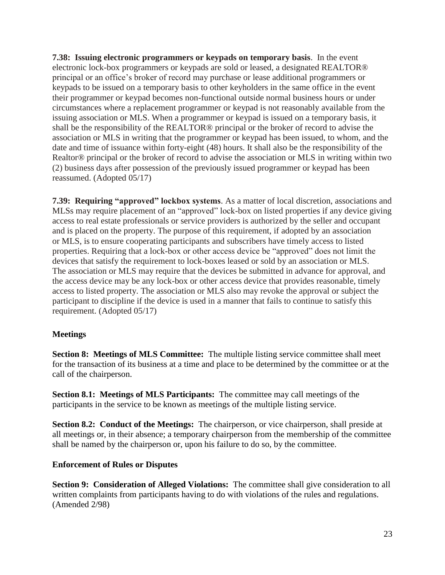**7.38: Issuing electronic programmers or keypads on temporary basis**. In the event electronic lock-box programmers or keypads are sold or leased, a designated REALTOR® principal or an office's broker of record may purchase or lease additional programmers or keypads to be issued on a temporary basis to other keyholders in the same office in the event their programmer or keypad becomes non-functional outside normal business hours or under circumstances where a replacement programmer or keypad is not reasonably available from the issuing association or MLS. When a programmer or keypad is issued on a temporary basis, it shall be the responsibility of the REALTOR® principal or the broker of record to advise the association or MLS in writing that the programmer or keypad has been issued, to whom, and the date and time of issuance within forty-eight (48) hours. It shall also be the responsibility of the Realtor® principal or the broker of record to advise the association or MLS in writing within two (2) business days after possession of the previously issued programmer or keypad has been reassumed. (Adopted 05/17)

**7.39: Requiring "approved" lockbox systems**. As a matter of local discretion, associations and MLSs may require placement of an "approved" lock-box on listed properties if any device giving access to real estate professionals or service providers is authorized by the seller and occupant and is placed on the property. The purpose of this requirement, if adopted by an association or MLS, is to ensure cooperating participants and subscribers have timely access to listed properties. Requiring that a lock-box or other access device be "approved" does not limit the devices that satisfy the requirement to lock-boxes leased or sold by an association or MLS. The association or MLS may require that the devices be submitted in advance for approval, and the access device may be any lock-box or other access device that provides reasonable, timely access to listed property. The association or MLS also may revoke the approval or subject the participant to discipline if the device is used in a manner that fails to continue to satisfy this requirement. (Adopted 05/17)

## **Meetings**

**Section 8: Meetings of MLS Committee:** The multiple listing service committee shall meet for the transaction of its business at a time and place to be determined by the committee or at the call of the chairperson.

**Section 8.1: Meetings of MLS Participants:** The committee may call meetings of the participants in the service to be known as meetings of the multiple listing service.

**Section 8.2: Conduct of the Meetings:** The chairperson, or vice chairperson, shall preside at all meetings or, in their absence; a temporary chairperson from the membership of the committee shall be named by the chairperson or, upon his failure to do so, by the committee.

## **Enforcement of Rules or Disputes**

**Section 9: Consideration of Alleged Violations:** The committee shall give consideration to all written complaints from participants having to do with violations of the rules and regulations. (Amended 2/98)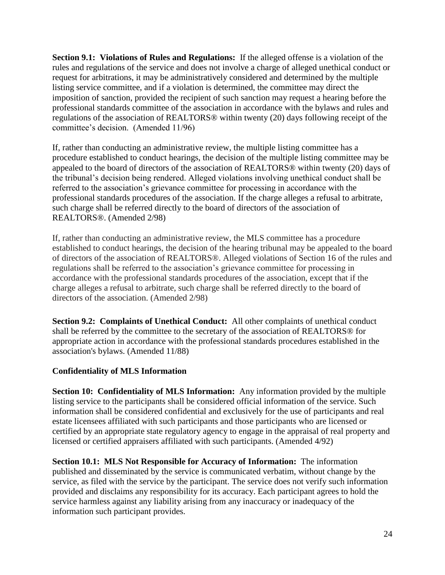**Section 9.1: Violations of Rules and Regulations:** If the alleged offense is a violation of the rules and regulations of the service and does not involve a charge of alleged unethical conduct or request for arbitrations, it may be administratively considered and determined by the multiple listing service committee, and if a violation is determined, the committee may direct the imposition of sanction, provided the recipient of such sanction may request a hearing before the professional standards committee of the association in accordance with the bylaws and rules and regulations of the association of REALTORS® within twenty (20) days following receipt of the committee's decision. (Amended 11/96)

If, rather than conducting an administrative review, the multiple listing committee has a procedure established to conduct hearings, the decision of the multiple listing committee may be appealed to the board of directors of the association of REALTORS® within twenty (20) days of the tribunal's decision being rendered. Alleged violations involving unethical conduct shall be referred to the association's grievance committee for processing in accordance with the professional standards procedures of the association. If the charge alleges a refusal to arbitrate, such charge shall be referred directly to the board of directors of the association of REALTORS®. (Amended 2/98)

If, rather than conducting an administrative review, the MLS committee has a procedure established to conduct hearings, the decision of the hearing tribunal may be appealed to the board of directors of the association of REALTORS®. Alleged violations of Section 16 of the rules and regulations shall be referred to the association's grievance committee for processing in accordance with the professional standards procedures of the association, except that if the charge alleges a refusal to arbitrate, such charge shall be referred directly to the board of directors of the association. (Amended 2/98)

**Section 9.2: Complaints of Unethical Conduct:** All other complaints of unethical conduct shall be referred by the committee to the secretary of the association of REALTORS® for appropriate action in accordance with the professional standards procedures established in the association's bylaws. (Amended 11/88)

## **Confidentiality of MLS Information**

**Section 10: Confidentiality of MLS Information:** Any information provided by the multiple listing service to the participants shall be considered official information of the service. Such information shall be considered confidential and exclusively for the use of participants and real estate licensees affiliated with such participants and those participants who are licensed or certified by an appropriate state regulatory agency to engage in the appraisal of real property and licensed or certified appraisers affiliated with such participants. (Amended 4/92)

**Section 10.1: MLS Not Responsible for Accuracy of Information:** The information published and disseminated by the service is communicated verbatim, without change by the service, as filed with the service by the participant. The service does not verify such information provided and disclaims any responsibility for its accuracy. Each participant agrees to hold the service harmless against any liability arising from any inaccuracy or inadequacy of the information such participant provides.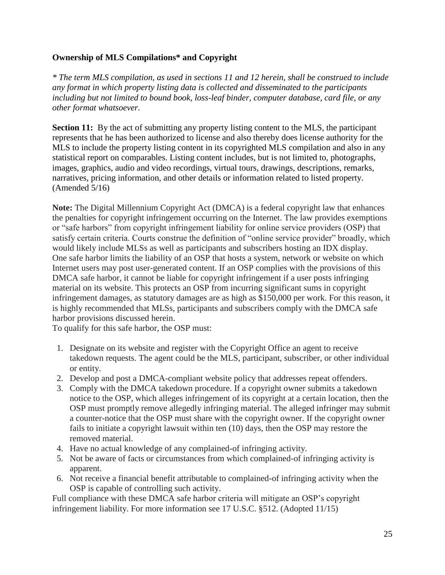## **Ownership of MLS Compilations\* and Copyright**

*\* The term MLS compilation, as used in sections 11 and 12 herein, shall be construed to include any format in which property listing data is collected and disseminated to the participants including but not limited to bound book, loss-leaf binder, computer database, card file, or any other format whatsoever.*

**Section 11:** By the act of submitting any property listing content to the MLS, the participant represents that he has been authorized to license and also thereby does license authority for the MLS to include the property listing content in its copyrighted MLS compilation and also in any statistical report on comparables. Listing content includes, but is not limited to, photographs, images, graphics, audio and video recordings, virtual tours, drawings, descriptions, remarks, narratives, pricing information, and other details or information related to listed property. (Amended 5/16)

**Note:** The Digital Millennium Copyright Act (DMCA) is a federal copyright law that enhances the penalties for copyright infringement occurring on the Internet. The law provides exemptions or "safe harbors" from copyright infringement liability for online service providers (OSP) that satisfy certain criteria. Courts construe the definition of "online service provider" broadly, which would likely include MLSs as well as participants and subscribers hosting an IDX display. One safe harbor limits the liability of an OSP that hosts a system, network or website on which Internet users may post user-generated content. If an OSP complies with the provisions of this DMCA safe harbor, it cannot be liable for copyright infringement if a user posts infringing material on its website. This protects an OSP from incurring significant sums in copyright infringement damages, as statutory damages are as high as \$150,000 per work. For this reason, it is highly recommended that MLSs, participants and subscribers comply with the DMCA safe harbor provisions discussed herein.

To qualify for this safe harbor, the OSP must:

- 1. Designate on its website and register with the Copyright Office an agent to receive takedown requests. The agent could be the MLS, participant, subscriber, or other individual or entity.
- 2. Develop and post a DMCA-compliant website policy that addresses repeat offenders.
- 3. Comply with the DMCA takedown procedure. If a copyright owner submits a takedown notice to the OSP, which alleges infringement of its copyright at a certain location, then the OSP must promptly remove allegedly infringing material. The alleged infringer may submit a counter-notice that the OSP must share with the copyright owner. If the copyright owner fails to initiate a copyright lawsuit within ten (10) days, then the OSP may restore the removed material.
- 4. Have no actual knowledge of any complained-of infringing activity.
- 5. Not be aware of facts or circumstances from which complained-of infringing activity is apparent.
- 6. Not receive a financial benefit attributable to complained-of infringing activity when the OSP is capable of controlling such activity.

Full compliance with these DMCA safe harbor criteria will mitigate an OSP's copyright infringement liability. For more information see 17 U.S.C. §512. (Adopted 11/15)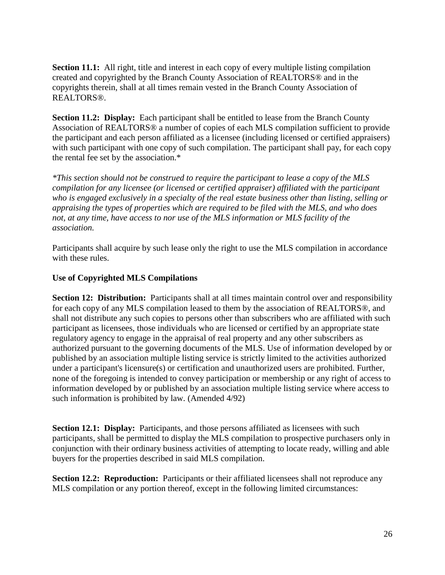**Section 11.1:** All right, title and interest in each copy of every multiple listing compilation created and copyrighted by the Branch County Association of REALTORS® and in the copyrights therein, shall at all times remain vested in the Branch County Association of REALTORS®.

**Section 11.2: Display:** Each participant shall be entitled to lease from the Branch County Association of REALTORS® a number of copies of each MLS compilation sufficient to provide the participant and each person affiliated as a licensee (including licensed or certified appraisers) with such participant with one copy of such compilation. The participant shall pay, for each copy the rental fee set by the association.\*

*\*This section should not be construed to require the participant to lease a copy of the MLS compilation for any licensee (or licensed or certified appraiser) affiliated with the participant who is engaged exclusively in a specialty of the real estate business other than listing, selling or appraising the types of properties which are required to be filed with the MLS, and who does not, at any time, have access to nor use of the MLS information or MLS facility of the association.*

Participants shall acquire by such lease only the right to use the MLS compilation in accordance with these rules.

## **Use of Copyrighted MLS Compilations**

**Section 12: Distribution:** Participants shall at all times maintain control over and responsibility for each copy of any MLS compilation leased to them by the association of REALTORS®, and shall not distribute any such copies to persons other than subscribers who are affiliated with such participant as licensees, those individuals who are licensed or certified by an appropriate state regulatory agency to engage in the appraisal of real property and any other subscribers as authorized pursuant to the governing documents of the MLS. Use of information developed by or published by an association multiple listing service is strictly limited to the activities authorized under a participant's licensure(s) or certification and unauthorized users are prohibited. Further, none of the foregoing is intended to convey participation or membership or any right of access to information developed by or published by an association multiple listing service where access to such information is prohibited by law. (Amended 4/92)

**Section 12.1: Display:** Participants, and those persons affiliated as licensees with such participants, shall be permitted to display the MLS compilation to prospective purchasers only in conjunction with their ordinary business activities of attempting to locate ready, willing and able buyers for the properties described in said MLS compilation.

**Section 12.2: Reproduction:** Participants or their affiliated licensees shall not reproduce any MLS compilation or any portion thereof, except in the following limited circumstances: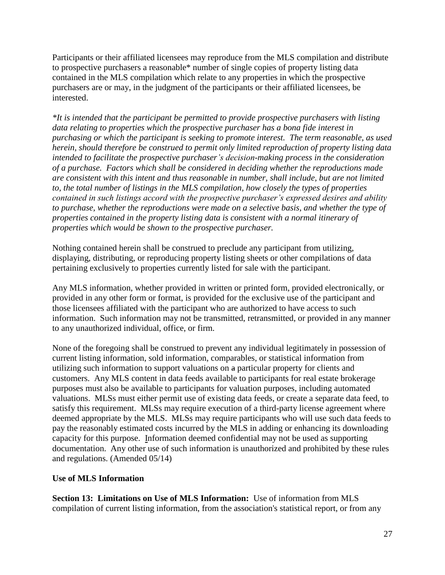Participants or their affiliated licensees may reproduce from the MLS compilation and distribute to prospective purchasers a reasonable\* number of single copies of property listing data contained in the MLS compilation which relate to any properties in which the prospective purchasers are or may, in the judgment of the participants or their affiliated licensees, be interested.

*\*It is intended that the participant be permitted to provide prospective purchasers with listing data relating to properties which the prospective purchaser has a bona fide interest in purchasing or which the participant is seeking to promote interest. The term reasonable, as used herein, should therefore be construed to permit only limited reproduction of property listing data intended to facilitate the prospective purchaser's decision-making process in the consideration of a purchase. Factors which shall be considered in deciding whether the reproductions made are consistent with this intent and thus reasonable in number, shall include, but are not limited to, the total number of listings in the MLS compilation, how closely the types of properties contained in such listings accord with the prospective purchaser's expressed desires and ability to purchase, whether the reproductions were made on a selective basis, and whether the type of properties contained in the property listing data is consistent with a normal itinerary of properties which would be shown to the prospective purchaser.*

Nothing contained herein shall be construed to preclude any participant from utilizing, displaying, distributing, or reproducing property listing sheets or other compilations of data pertaining exclusively to properties currently listed for sale with the participant.

Any MLS information, whether provided in written or printed form, provided electronically, or provided in any other form or format, is provided for the exclusive use of the participant and those licensees affiliated with the participant who are authorized to have access to such information. Such information may not be transmitted, retransmitted, or provided in any manner to any unauthorized individual, office, or firm.

None of the foregoing shall be construed to prevent any individual legitimately in possession of current listing information, sold information, comparables, or statistical information from utilizing such information to support valuations on a particular property for clients and customers. Any MLS content in data feeds available to participants for real estate brokerage purposes must also be available to participants for valuation purposes, including automated valuations. MLSs must either permit use of existing data feeds, or create a separate data feed, to satisfy this requirement. MLSs may require execution of a third-party license agreement where deemed appropriate by the MLS. MLSs may require participants who will use such data feeds to pay the reasonably estimated costs incurred by the MLS in adding or enhancing its downloading capacity for this purpose. Information deemed confidential may not be used as supporting documentation. Any other use of such information is unauthorized and prohibited by these rules and regulations. (Amended 05/14)

## **Use of MLS Information**

**Section 13: Limitations on Use of MLS Information:** Use of information from MLS compilation of current listing information, from the association's statistical report, or from any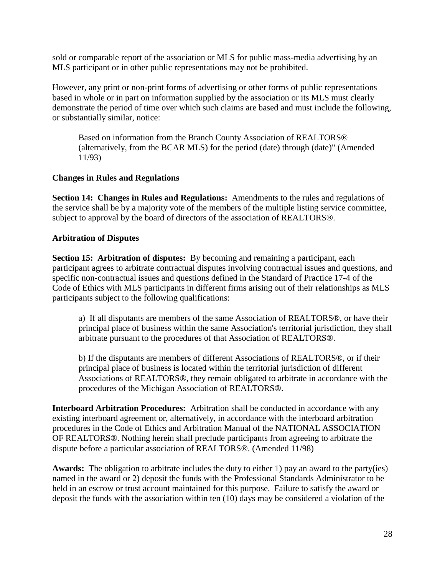sold or comparable report of the association or MLS for public mass-media advertising by an MLS participant or in other public representations may not be prohibited.

However, any print or non-print forms of advertising or other forms of public representations based in whole or in part on information supplied by the association or its MLS must clearly demonstrate the period of time over which such claims are based and must include the following, or substantially similar, notice:

Based on information from the Branch County Association of REALTORS® (alternatively, from the BCAR MLS) for the period (date) through (date)" (Amended 11/93)

## **Changes in Rules and Regulations**

**Section 14: Changes in Rules and Regulations:** Amendments to the rules and regulations of the service shall be by a majority vote of the members of the multiple listing service committee, subject to approval by the board of directors of the association of REALTORS®.

#### **Arbitration of Disputes**

**Section 15: Arbitration of disputes:** By becoming and remaining a participant, each participant agrees to arbitrate contractual disputes involving contractual issues and questions, and specific non-contractual issues and questions defined in the Standard of Practice 17-4 of the Code of Ethics with MLS participants in different firms arising out of their relationships as MLS participants subject to the following qualifications:

a) If all disputants are members of the same Association of REALTORS®, or have their principal place of business within the same Association's territorial jurisdiction, they shall arbitrate pursuant to the procedures of that Association of REALTORS®.

b) If the disputants are members of different Associations of REALTORS®, or if their principal place of business is located within the territorial jurisdiction of different Associations of REALTORS®, they remain obligated to arbitrate in accordance with the procedures of the Michigan Association of REALTORS®.

**Interboard Arbitration Procedures:** Arbitration shall be conducted in accordance with any existing interboard agreement or, alternatively, in accordance with the interboard arbitration procedures in the Code of Ethics and Arbitration Manual of the NATIONAL ASSOCIATION OF REALTORS®. Nothing herein shall preclude participants from agreeing to arbitrate the dispute before a particular association of REALTORS®. (Amended 11/98)

**Awards:** The obligation to arbitrate includes the duty to either 1) pay an award to the party(ies) named in the award or 2) deposit the funds with the Professional Standards Administrator to be held in an escrow or trust account maintained for this purpose. Failure to satisfy the award or deposit the funds with the association within ten (10) days may be considered a violation of the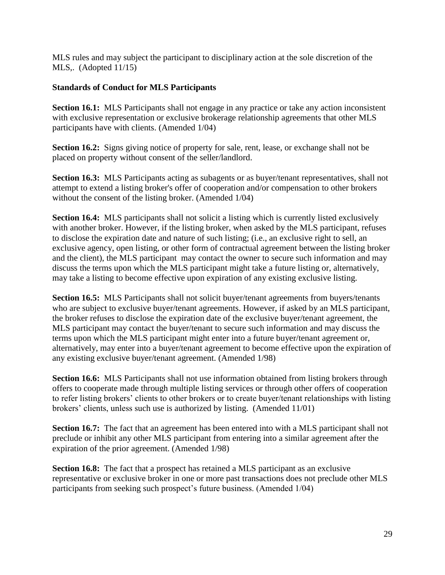MLS rules and may subject the participant to disciplinary action at the sole discretion of the MLS,. (Adopted 11/15)

# **Standards of Conduct for MLS Participants**

**Section 16.1:** MLS Participants shall not engage in any practice or take any action inconsistent with exclusive representation or exclusive brokerage relationship agreements that other MLS participants have with clients. (Amended 1/04)

**Section 16.2:** Signs giving notice of property for sale, rent, lease, or exchange shall not be placed on property without consent of the seller/landlord.

**Section 16.3:** MLS Participants acting as subagents or as buyer/tenant representatives, shall not attempt to extend a listing broker's offer of cooperation and/or compensation to other brokers without the consent of the listing broker. (Amended 1/04)

**Section 16.4:** MLS participants shall not solicit a listing which is currently listed exclusively with another broker. However, if the listing broker, when asked by the MLS participant, refuses to disclose the expiration date and nature of such listing; (i.e., an exclusive right to sell, an exclusive agency, open listing, or other form of contractual agreement between the listing broker and the client), the MLS participant may contact the owner to secure such information and may discuss the terms upon which the MLS participant might take a future listing or, alternatively, may take a listing to become effective upon expiration of any existing exclusive listing.

**Section 16.5:** MLS Participants shall not solicit buyer/tenant agreements from buyers/tenants who are subject to exclusive buyer/tenant agreements. However, if asked by an MLS participant, the broker refuses to disclose the expiration date of the exclusive buyer/tenant agreement, the MLS participant may contact the buyer/tenant to secure such information and may discuss the terms upon which the MLS participant might enter into a future buyer/tenant agreement or, alternatively, may enter into a buyer/tenant agreement to become effective upon the expiration of any existing exclusive buyer/tenant agreement. (Amended 1/98)

**Section 16.6:** MLS Participants shall not use information obtained from listing brokers through offers to cooperate made through multiple listing services or through other offers of cooperation to refer listing brokers' clients to other brokers or to create buyer/tenant relationships with listing brokers' clients, unless such use is authorized by listing. (Amended 11/01)

**Section 16.7:** The fact that an agreement has been entered into with a MLS participant shall not preclude or inhibit any other MLS participant from entering into a similar agreement after the expiration of the prior agreement. (Amended 1/98)

**Section 16.8:** The fact that a prospect has retained a MLS participant as an exclusive representative or exclusive broker in one or more past transactions does not preclude other MLS participants from seeking such prospect's future business. (Amended 1/04)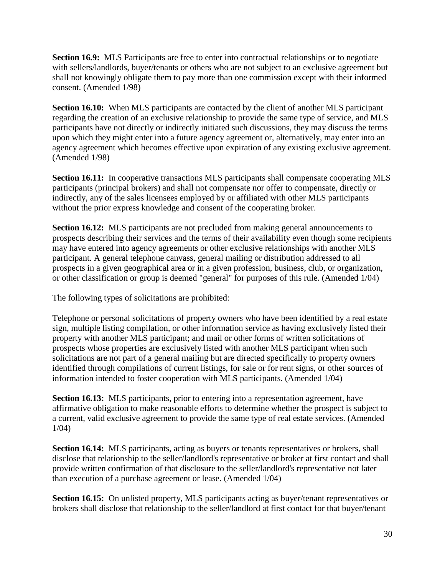**Section 16.9:** MLS Participants are free to enter into contractual relationships or to negotiate with sellers/landlords, buyer/tenants or others who are not subject to an exclusive agreement but shall not knowingly obligate them to pay more than one commission except with their informed consent. (Amended 1/98)

**Section 16.10:** When MLS participants are contacted by the client of another MLS participant regarding the creation of an exclusive relationship to provide the same type of service, and MLS participants have not directly or indirectly initiated such discussions, they may discuss the terms upon which they might enter into a future agency agreement or, alternatively, may enter into an agency agreement which becomes effective upon expiration of any existing exclusive agreement. (Amended 1/98)

**Section 16.11:** In cooperative transactions MLS participants shall compensate cooperating MLS participants (principal brokers) and shall not compensate nor offer to compensate, directly or indirectly, any of the sales licensees employed by or affiliated with other MLS participants without the prior express knowledge and consent of the cooperating broker.

**Section 16.12:** MLS participants are not precluded from making general announcements to prospects describing their services and the terms of their availability even though some recipients may have entered into agency agreements or other exclusive relationships with another MLS participant. A general telephone canvass, general mailing or distribution addressed to all prospects in a given geographical area or in a given profession, business, club, or organization, or other classification or group is deemed "general" for purposes of this rule. (Amended 1/04)

The following types of solicitations are prohibited:

Telephone or personal solicitations of property owners who have been identified by a real estate sign, multiple listing compilation, or other information service as having exclusively listed their property with another MLS participant; and mail or other forms of written solicitations of prospects whose properties are exclusively listed with another MLS participant when such solicitations are not part of a general mailing but are directed specifically to property owners identified through compilations of current listings, for sale or for rent signs, or other sources of information intended to foster cooperation with MLS participants. (Amended 1/04)

**Section 16.13:** MLS participants, prior to entering into a representation agreement, have affirmative obligation to make reasonable efforts to determine whether the prospect is subject to a current, valid exclusive agreement to provide the same type of real estate services. (Amended 1/04)

**Section 16.14:** MLS participants, acting as buyers or tenants representatives or brokers*,* shall disclose that relationship to the seller/landlord's representative or broker at first contact and shall provide written confirmation of that disclosure to the seller/landlord's representative not later than execution of a purchase agreement or lease. (Amended 1/04)

**Section 16.15:** On unlisted property, MLS participants acting as buyer/tenant representatives or brokers shall disclose that relationship to the seller/landlord at first contact for that buyer/tenant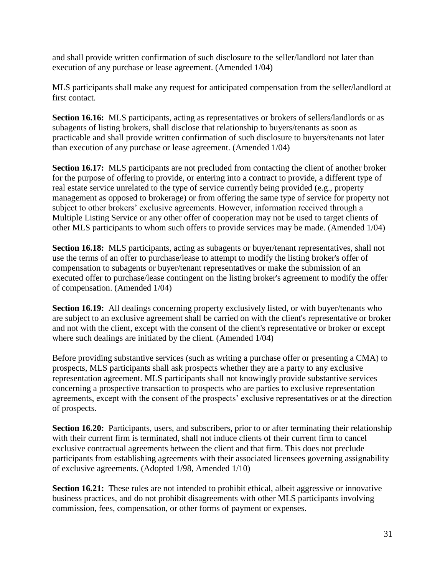and shall provide written confirmation of such disclosure to the seller/landlord not later than execution of any purchase or lease agreement. (Amended 1/04)

MLS participants shall make any request for anticipated compensation from the seller/landlord at first contact.

**Section 16.16:** MLS participants, acting as representatives or brokers of sellers/landlords or as subagents of listing brokers, shall disclose that relationship to buyers/tenants as soon as practicable and shall provide written confirmation of such disclosure to buyers/tenants not later than execution of any purchase or lease agreement. (Amended 1/04)

**Section 16.17:** MLS participants are not precluded from contacting the client of another broker for the purpose of offering to provide, or entering into a contract to provide, a different type of real estate service unrelated to the type of service currently being provided (e.g., property management as opposed to brokerage) or from offering the same type of service for property not subject to other brokers' exclusive agreements. However, information received through a Multiple Listing Service or any other offer of cooperation may not be used to target clients of other MLS participants to whom such offers to provide services may be made. (Amended 1/04)

**Section 16.18:** MLS participants, acting as subagents or buyer/tenant representatives, shall not use the terms of an offer to purchase/lease to attempt to modify the listing broker's offer of compensation to subagents or buyer/tenant representatives or make the submission of an executed offer to purchase/lease contingent on the listing broker's agreement to modify the offer of compensation. (Amended 1/04)

**Section 16.19:** All dealings concerning property exclusively listed, or with buyer/tenants who are subject to an exclusive agreement shall be carried on with the client's representative or broker and not with the client, except with the consent of the client's representative or broker or except where such dealings are initiated by the client. (Amended 1/04)

Before providing substantive services (such as writing a purchase offer or presenting a CMA) to prospects, MLS participants shall ask prospects whether they are a party to any exclusive representation agreement. MLS participants shall not knowingly provide substantive services concerning a prospective transaction to prospects who are parties to exclusive representation agreements, except with the consent of the prospects' exclusive representatives or at the direction of prospects.

**Section 16.20:** Participants, users, and subscribers, prior to or after terminating their relationship with their current firm is terminated, shall not induce clients of their current firm to cancel exclusive contractual agreements between the client and that firm. This does not preclude participants from establishing agreements with their associated licensees governing assignability of exclusive agreements*.* (Adopted 1/98, Amended 1/10)

**Section 16.21:** These rules are not intended to prohibit ethical, albeit aggressive or innovative business practices, and do not prohibit disagreements with other MLS participants involving commission, fees, compensation, or other forms of payment or expenses.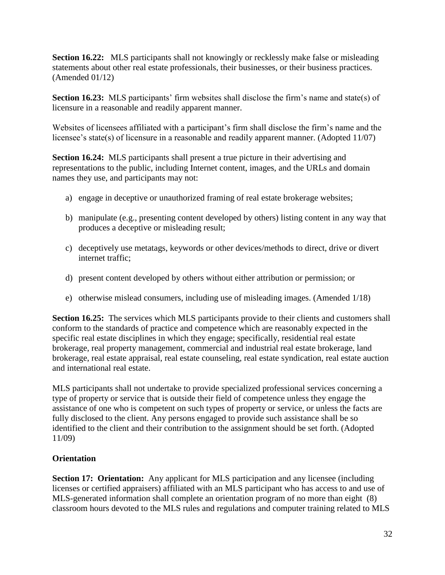**Section 16.22:** MLS participants shall not knowingly or recklessly make false or misleading statements about other real estate professionals, their businesses, or their business practices. (Amended 01/12)

**Section 16.23:** MLS participants' firm websites shall disclose the firm's name and state(s) of licensure in a reasonable and readily apparent manner.

Websites of licensees affiliated with a participant's firm shall disclose the firm's name and the licensee's state(s) of licensure in a reasonable and readily apparent manner. (Adopted 11/07)

**Section 16.24:** MLS participants shall present a true picture in their advertising and representations to the public, including Internet content, images, and the URLs and domain names they use, and participants may not:

- a) engage in deceptive or unauthorized framing of real estate brokerage websites;
- b) manipulate (e.g., presenting content developed by others) listing content in any way that produces a deceptive or misleading result;
- c) deceptively use metatags, keywords or other devices/methods to direct, drive or divert internet traffic;
- d) present content developed by others without either attribution or permission; or
- e) otherwise mislead consumers, including use of misleading images. (Amended 1/18)

**Section 16.25:** The services which MLS participants provide to their clients and customers shall conform to the standards of practice and competence which are reasonably expected in the specific real estate disciplines in which they engage; specifically, residential real estate brokerage, real property management, commercial and industrial real estate brokerage, land brokerage, real estate appraisal, real estate counseling, real estate syndication, real estate auction and international real estate.

MLS participants shall not undertake to provide specialized professional services concerning a type of property or service that is outside their field of competence unless they engage the assistance of one who is competent on such types of property or service, or unless the facts are fully disclosed to the client. Any persons engaged to provide such assistance shall be so identified to the client and their contribution to the assignment should be set forth. (Adopted 11/09)

# **Orientation**

**Section 17: Orientation:** Any applicant for MLS participation and any licensee (including licenses or certified appraisers) affiliated with an MLS participant who has access to and use of MLS-generated information shall complete an orientation program of no more than eight (8) classroom hours devoted to the MLS rules and regulations and computer training related to MLS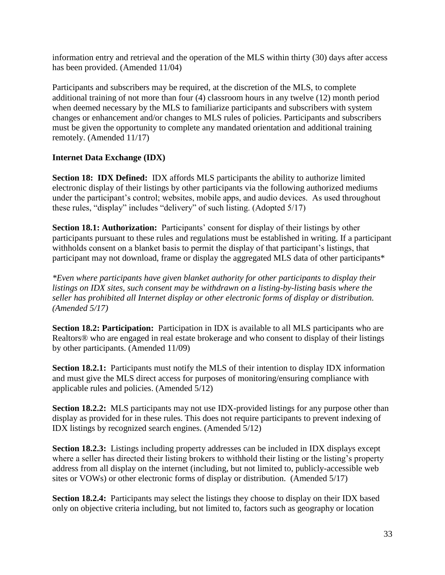information entry and retrieval and the operation of the MLS within thirty (30) days after access has been provided. (Amended 11/04)

Participants and subscribers may be required, at the discretion of the MLS, to complete additional training of not more than four (4) classroom hours in any twelve (12) month period when deemed necessary by the MLS to familiarize participants and subscribers with system changes or enhancement and/or changes to MLS rules of policies. Participants and subscribers must be given the opportunity to complete any mandated orientation and additional training remotely. (Amended 11/17)

# **Internet Data Exchange (IDX)**

**Section 18: IDX Defined:** IDX affords MLS participants the ability to authorize limited electronic display of their listings by other participants via the following authorized mediums under the participant's control; websites, mobile apps, and audio devices. As used throughout these rules, "display" includes "delivery" of such listing. (Adopted 5/17)

**Section 18.1: Authorization:** Participants' consent for display of their listings by other participants pursuant to these rules and regulations must be established in writing. If a participant withholds consent on a blanket basis to permit the display of that participant's listings, that participant may not download, frame or display the aggregated MLS data of other participants\*

*\*Even where participants have given blanket authority for other participants to display their listings on IDX sites, such consent may be withdrawn on a listing-by-listing basis where the seller has prohibited all Internet display or other electronic forms of display or distribution. (Amended 5/17)*

**Section 18.2: Participation:** Participation in IDX is available to all MLS participants who are Realtors® who are engaged in real estate brokerage and who consent to display of their listings by other participants. (Amended 11/09)

**Section 18.2.1:** Participants must notify the MLS of their intention to display IDX information and must give the MLS direct access for purposes of monitoring/ensuring compliance with applicable rules and policies. (Amended 5/12)

**Section 18.2.2:** MLS participants may not use IDX-provided listings for any purpose other than display as provided for in these rules. This does not require participants to prevent indexing of IDX listings by recognized search engines. (Amended 5/12)

**Section 18.2.3:** Listings including property addresses can be included in IDX displays except where a seller has directed their listing brokers to withhold their listing or the listing's property address from all display on the internet (including, but not limited to, publicly-accessible web sites or VOWs) or other electronic forms of display or distribution. (Amended 5/17)

**Section 18.2.4:** Participants may select the listings they choose to display on their IDX based only on objective criteria including, but not limited to, factors such as geography or location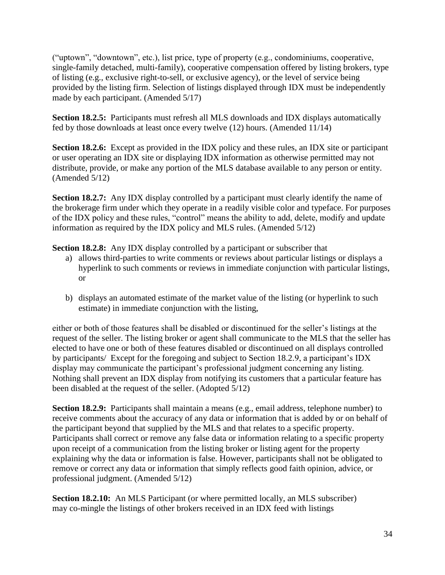("uptown", "downtown", etc.), list price, type of property (e.g., condominiums, cooperative, single-family detached, multi-family), cooperative compensation offered by listing brokers, type of listing (e.g., exclusive right-to-sell, or exclusive agency), or the level of service being provided by the listing firm. Selection of listings displayed through IDX must be independently made by each participant. (Amended 5/17)

**Section 18.2.5:** Participants must refresh all MLS downloads and IDX displays automatically fed by those downloads at least once every twelve (12) hours. (Amended 11/14)

**Section 18.2.6:** Except as provided in the IDX policy and these rules, an IDX site or participant or user operating an IDX site or displaying IDX information as otherwise permitted may not distribute, provide, or make any portion of the MLS database available to any person or entity. (Amended 5/12)

**Section 18.2.7:** Any IDX display controlled by a participant must clearly identify the name of the brokerage firm under which they operate in a readily visible color and typeface. For purposes of the IDX policy and these rules, "control" means the ability to add, delete, modify and update information as required by the IDX policy and MLS rules. (Amended 5/12)

**Section 18.2.8:** Any IDX display controlled by a participant or subscriber that

- a) allows third-parties to write comments or reviews about particular listings or displays a hyperlink to such comments or reviews in immediate conjunction with particular listings, or
- b) displays an automated estimate of the market value of the listing (or hyperlink to such estimate) in immediate conjunction with the listing,

either or both of those features shall be disabled or discontinued for the seller's listings at the request of the seller. The listing broker or agent shall communicate to the MLS that the seller has elected to have one or both of these features disabled or discontinued on all displays controlled by participants/ Except for the foregoing and subject to Section 18.2.9, a participant's IDX display may communicate the participant's professional judgment concerning any listing. Nothing shall prevent an IDX display from notifying its customers that a particular feature has been disabled at the request of the seller. (Adopted 5/12)

**Section 18.2.9:** Participants shall maintain a means (e.g., email address, telephone number) to receive comments about the accuracy of any data or information that is added by or on behalf of the participant beyond that supplied by the MLS and that relates to a specific property. Participants shall correct or remove any false data or information relating to a specific property upon receipt of a communication from the listing broker or listing agent for the property explaining why the data or information is false. However, participants shall not be obligated to remove or correct any data or information that simply reflects good faith opinion, advice, or professional judgment. (Amended 5/12)

**Section 18.2.10:** An MLS Participant (or where permitted locally, an MLS subscriber) may co-mingle the listings of other brokers received in an IDX feed with listings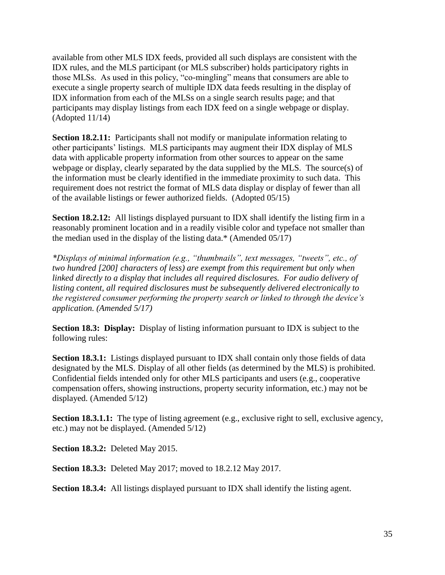available from other MLS IDX feeds, provided all such displays are consistent with the IDX rules, and the MLS participant (or MLS subscriber) holds participatory rights in those MLSs. As used in this policy, "co-mingling" means that consumers are able to execute a single property search of multiple IDX data feeds resulting in the display of IDX information from each of the MLSs on a single search results page; and that participants may display listings from each IDX feed on a single webpage or display. (Adopted 11/14)

**Section 18.2.11:** Participants shall not modify or manipulate information relating to other participants' listings. MLS participants may augment their IDX display of MLS data with applicable property information from other sources to appear on the same webpage or display, clearly separated by the data supplied by the MLS. The source(s) of the information must be clearly identified in the immediate proximity to such data. This requirement does not restrict the format of MLS data display or display of fewer than all of the available listings or fewer authorized fields. (Adopted 05/15)

**Section 18.2.12:** All listings displayed pursuant to IDX shall identify the listing firm in a reasonably prominent location and in a readily visible color and typeface not smaller than the median used in the display of the listing data.\* (Amended 05/17)

*\*Displays of minimal information (e.g., "thumbnails", text messages, "tweets", etc., of two hundred [200] characters of less) are exempt from this requirement but only when linked directly to a display that includes all required disclosures. For audio delivery of listing content, all required disclosures must be subsequently delivered electronically to the registered consumer performing the property search or linked to through the device's application. (Amended 5/17)*

**Section 18.3: Display:** Display of listing information pursuant to IDX is subject to the following rules:

**Section 18.3.1:** Listings displayed pursuant to IDX shall contain only those fields of data designated by the MLS. Display of all other fields (as determined by the MLS) is prohibited. Confidential fields intended only for other MLS participants and users (e.g., cooperative compensation offers, showing instructions, property security information, etc.) may not be displayed. (Amended 5/12)

**Section 18.3.1.1:** The type of listing agreement (e.g., exclusive right to sell, exclusive agency, etc.) may not be displayed. (Amended 5/12)

**Section 18.3.2:** Deleted May 2015.

**Section 18.3.3:** Deleted May 2017; moved to 18.2.12 May 2017.

**Section 18.3.4:** All listings displayed pursuant to IDX shall identify the listing agent.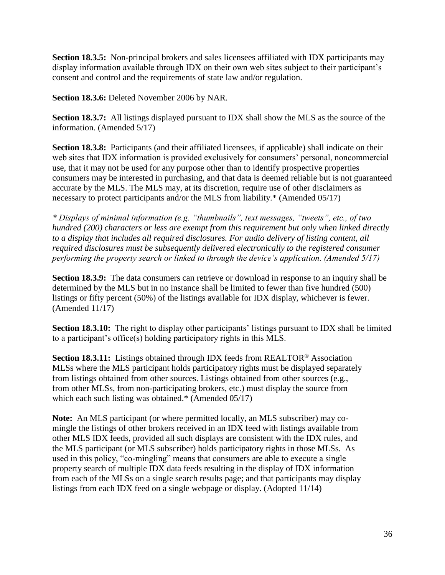**Section 18.3.5:** Non-principal brokers and sales licensees affiliated with IDX participants may display information available through IDX on their own web sites subject to their participant's consent and control and the requirements of state law and/or regulation.

**Section 18.3.6:** Deleted November 2006 by NAR.

**Section 18.3.7:** All listings displayed pursuant to IDX shall show the MLS as the source of the information. (Amended 5/17)

**Section 18.3.8:** Participants (and their affiliated licensees, if applicable) shall indicate on their web sites that IDX information is provided exclusively for consumers' personal, noncommercial use, that it may not be used for any purpose other than to identify prospective properties consumers may be interested in purchasing, and that data is deemed reliable but is not guaranteed accurate by the MLS. The MLS may, at its discretion, require use of other disclaimers as necessary to protect participants and/or the MLS from liability.\* (Amended 05/17)

*\* Displays of minimal information (e.g. "thumbnails", text messages, "tweets", etc., of two hundred (200) characters or less are exempt from this requirement but only when linked directly to a display that includes all required disclosures. For audio delivery of listing content, all required disclosures must be subsequently delivered electronically to the registered consumer performing the property search or linked to through the device's application. (Amended 5/17)*

**Section 18.3.9:** The data consumers can retrieve or download in response to an inquiry shall be determined by the MLS but in no instance shall be limited to fewer than five hundred (500) listings or fifty percent (50%) of the listings available for IDX display, whichever is fewer. (Amended 11/17)

**Section 18.3.10:** The right to display other participants' listings pursuant to IDX shall be limited to a participant's office(s) holding participatory rights in this MLS.

**Section 18.3.11:** Listings obtained through IDX feeds from REALTOR® Association MLSs where the MLS participant holds participatory rights must be displayed separately from listings obtained from other sources. Listings obtained from other sources (e.g., from other MLSs, from non-participating brokers, etc.) must display the source from which each such listing was obtained.\* (Amended 05/17)

**Note:** An MLS participant (or where permitted locally, an MLS subscriber) may comingle the listings of other brokers received in an IDX feed with listings available from other MLS IDX feeds, provided all such displays are consistent with the IDX rules, and the MLS participant (or MLS subscriber) holds participatory rights in those MLSs. As used in this policy, "co-mingling" means that consumers are able to execute a single property search of multiple IDX data feeds resulting in the display of IDX information from each of the MLSs on a single search results page; and that participants may display listings from each IDX feed on a single webpage or display. (Adopted 11/14)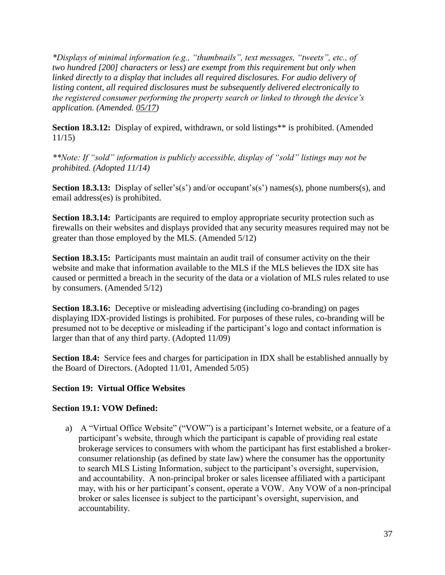*\*Displays of minimal information (e.g., "thumbnails", text messages, "tweets", etc., of two hundred [200] characters or less) are exempt from this requirement but only when linked directly to a display that includes all required disclosures. For audio delivery of listing content, all required disclosures must be subsequently delivered electronically to the registered consumer performing the property search or linked to through the device's application. (Amended. 05/17)*

**Section 18.3.12:** Display of expired, withdrawn, or sold listings<sup>\*\*</sup> is prohibited. (Amended 11/15)

*\*\*Note: If "sold" information is publicly accessible, display of "sold" listings may not be prohibited. (Adopted 11/14)*

**Section 18.3.13:** Display of seller's(s') and/or occupant's(s') names(s), phone numbers(s), and email address(es) is prohibited.

**Section 18.3.14:** Participants are required to employ appropriate security protection such as firewalls on their websites and displays provided that any security measures required may not be greater than those employed by the MLS. (Amended 5/12)

**Section 18.3.15:** Participants must maintain an audit trail of consumer activity on the their website and make that information available to the MLS if the MLS believes the IDX site has caused or permitted a breach in the security of the data or a violation of MLS rules related to use by consumers. (Amended 5/12)

**Section 18.3.16:** Deceptive or misleading advertising (including co-branding) on pages displaying IDX-provided listings is prohibited. For purposes of these rules, co-branding will be presumed not to be deceptive or misleading if the participant's logo and contact information is larger than that of any third party. (Adopted 11/09)

**Section 18.4:** Service fees and charges for participation in IDX shall be established annually by the Board of Directors. (Adopted 11/01, Amended 5/05)

## **Section 19: Virtual Office Websites**

## **Section 19.1: VOW Defined:**

a) A "Virtual Office Website" ("VOW") is a participant's Internet website, or a feature of a participant's website, through which the participant is capable of providing real estate brokerage services to consumers with whom the participant has first established a brokerconsumer relationship (as defined by state law) where the consumer has the opportunity to search MLS Listing Information, subject to the participant's oversight, supervision, and accountability. A non-principal broker or sales licensee affiliated with a participant may, with his or her participant's consent, operate a VOW. Any VOW of a non-principal broker or sales licensee is subject to the participant's oversight, supervision, and accountability.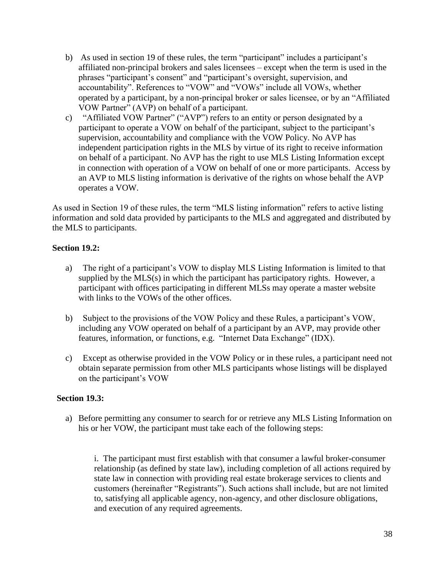- b) As used in section 19 of these rules, the term "participant" includes a participant's affiliated non-principal brokers and sales licensees – except when the term is used in the phrases "participant's consent" and "participant's oversight, supervision, and accountability". References to "VOW" and "VOWs" include all VOWs, whether operated by a participant, by a non-principal broker or sales licensee, or by an "Affiliated VOW Partner" (AVP) on behalf of a participant.
- c) "Affiliated VOW Partner" ("AVP") refers to an entity or person designated by a participant to operate a VOW on behalf of the participant, subject to the participant's supervision, accountability and compliance with the VOW Policy. No AVP has independent participation rights in the MLS by virtue of its right to receive information on behalf of a participant. No AVP has the right to use MLS Listing Information except in connection with operation of a VOW on behalf of one or more participants. Access by an AVP to MLS listing information is derivative of the rights on whose behalf the AVP operates a VOW.

As used in Section 19 of these rules, the term "MLS listing information" refers to active listing information and sold data provided by participants to the MLS and aggregated and distributed by the MLS to participants.

#### **Section 19.2:**

- a) The right of a participant's VOW to display MLS Listing Information is limited to that supplied by the MLS(s) in which the participant has participatory rights. However, a participant with offices participating in different MLSs may operate a master website with links to the VOWs of the other offices.
- b) Subject to the provisions of the VOW Policy and these Rules, a participant's VOW, including any VOW operated on behalf of a participant by an AVP, may provide other features, information, or functions, e.g. "Internet Data Exchange" (IDX).
- c) Except as otherwise provided in the VOW Policy or in these rules, a participant need not obtain separate permission from other MLS participants whose listings will be displayed on the participant's VOW

#### **Section 19.3:**

a) Before permitting any consumer to search for or retrieve any MLS Listing Information on his or her VOW, the participant must take each of the following steps:

i. The participant must first establish with that consumer a lawful broker-consumer relationship (as defined by state law), including completion of all actions required by state law in connection with providing real estate brokerage services to clients and customers (hereinafter "Registrants"). Such actions shall include, but are not limited to, satisfying all applicable agency, non-agency, and other disclosure obligations, and execution of any required agreements.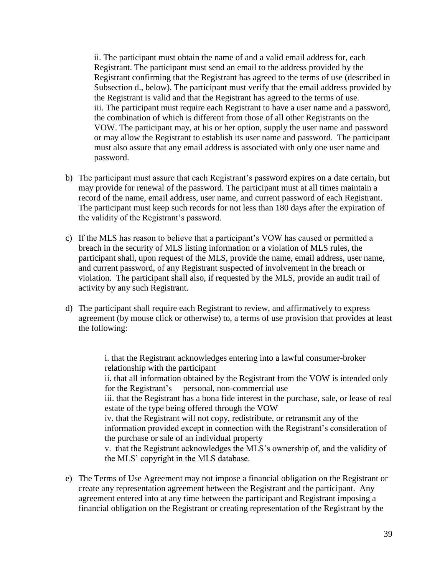ii. The participant must obtain the name of and a valid email address for, each Registrant. The participant must send an email to the address provided by the Registrant confirming that the Registrant has agreed to the terms of use (described in Subsection d., below). The participant must verify that the email address provided by the Registrant is valid and that the Registrant has agreed to the terms of use. iii. The participant must require each Registrant to have a user name and a password, the combination of which is different from those of all other Registrants on the VOW. The participant may, at his or her option, supply the user name and password or may allow the Registrant to establish its user name and password. The participant must also assure that any email address is associated with only one user name and password.

- b) The participant must assure that each Registrant's password expires on a date certain, but may provide for renewal of the password. The participant must at all times maintain a record of the name, email address, user name, and current password of each Registrant. The participant must keep such records for not less than 180 days after the expiration of the validity of the Registrant's password.
- c) If the MLS has reason to believe that a participant's VOW has caused or permitted a breach in the security of MLS listing information or a violation of MLS rules, the participant shall, upon request of the MLS, provide the name, email address, user name, and current password, of any Registrant suspected of involvement in the breach or violation. The participant shall also, if requested by the MLS, provide an audit trail of activity by any such Registrant.
- d) The participant shall require each Registrant to review, and affirmatively to express agreement (by mouse click or otherwise) to, a terms of use provision that provides at least the following:

i. that the Registrant acknowledges entering into a lawful consumer-broker relationship with the participant

ii. that all information obtained by the Registrant from the VOW is intended only for the Registrant's personal, non-commercial use

iii. that the Registrant has a bona fide interest in the purchase, sale, or lease of real estate of the type being offered through the VOW

iv. that the Registrant will not copy, redistribute, or retransmit any of the information provided except in connection with the Registrant's consideration of the purchase or sale of an individual property

v. that the Registrant acknowledges the MLS's ownership of, and the validity of the MLS' copyright in the MLS database.

e) The Terms of Use Agreement may not impose a financial obligation on the Registrant or create any representation agreement between the Registrant and the participant. Any agreement entered into at any time between the participant and Registrant imposing a financial obligation on the Registrant or creating representation of the Registrant by the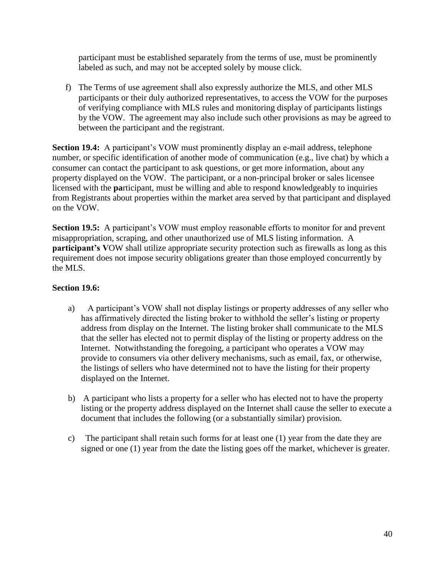participant must be established separately from the terms of use, must be prominently labeled as such, and may not be accepted solely by mouse click.

f) The Terms of use agreement shall also expressly authorize the MLS, and other MLS participants or their duly authorized representatives, to access the VOW for the purposes of verifying compliance with MLS rules and monitoring display of participants listings by the VOW. The agreement may also include such other provisions as may be agreed to between the participant and the registrant.

**Section 19.4:** A participant's VOW must prominently display an e-mail address, telephone number, or specific identification of another mode of communication (e.g., live chat) by which a consumer can contact the participant to ask questions, or get more information, about any property displayed on the VOW. The participant, or a non-principal broker or sales licensee licensed with the **pa**rticipant, must be willing and able to respond knowledgeably to inquiries from Registrants about properties within the market area served by that participant and displayed on the VOW.

**Section 19.5:** A participant's VOW must employ reasonable efforts to monitor for and prevent misappropriation, scraping, and other unauthorized use of MLS listing information. A **participant's V**OW shall utilize appropriate security protection such as firewalls as long as this requirement does not impose security obligations greater than those employed concurrently by the MLS.

## **Section 19.6:**

- a) A participant's VOW shall not display listings or property addresses of any seller who has affirmatively directed the listing broker to withhold the seller's listing or property address from display on the Internet. The listing broker shall communicate to the MLS that the seller has elected not to permit display of the listing or property address on the Internet. Notwithstanding the foregoing, a participant who operates a VOW may provide to consumers via other delivery mechanisms, such as email, fax, or otherwise, the listings of sellers who have determined not to have the listing for their property displayed on the Internet.
- b) A participant who lists a property for a seller who has elected not to have the property listing or the property address displayed on the Internet shall cause the seller to execute a document that includes the following (or a substantially similar) provision.
- c) The participant shall retain such forms for at least one (1) year from the date they are signed or one (1) year from the date the listing goes off the market, whichever is greater.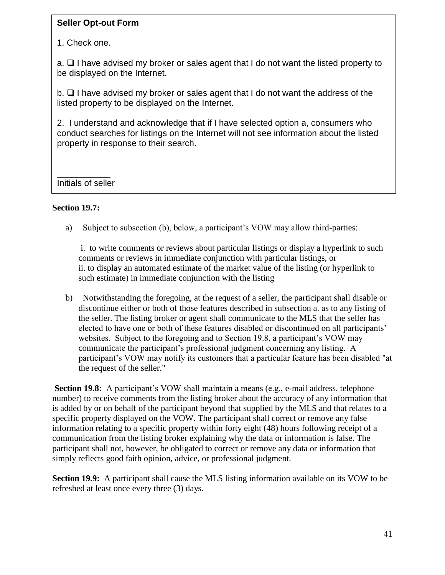# **Seller Opt-out Form**

1. Check one.

a. ❑ I have advised my broker or sales agent that I do not want the listed property to be displayed on the Internet.

b. ❑ I have advised my broker or sales agent that I do not want the address of the listed property to be displayed on the Internet.

2. I understand and acknowledge that if I have selected option a, consumers who conduct searches for listings on the Internet will not see information about the listed property in response to their search.

\_\_\_\_\_\_\_\_\_\_\_ Initials of seller

# **Section 19.7:**

a) Subject to subsection (b), below, a participant's VOW may allow third-parties:

i. to write comments or reviews about particular listings or display a hyperlink to such comments or reviews in immediate conjunction with particular listings, or ii. to display an automated estimate of the market value of the listing (or hyperlink to such estimate) in immediate conjunction with the listing

b) Notwithstanding the foregoing, at the request of a seller, the participant shall disable or discontinue either or both of those features described in subsection a. as to any listing of the seller. The listing broker or agent shall communicate to the MLS that the seller has elected to have one or both of these features disabled or discontinued on all participants' websites. Subject to the foregoing and to Section 19.8, a participant's VOW may communicate the participant's professional judgment concerning any listing. A participant's VOW may notify its customers that a particular feature has been disabled "at the request of the seller."

**Section 19.8:** A participant's VOW shall maintain a means (e.g., e-mail address, telephone number) to receive comments from the listing broker about the accuracy of any information that is added by or on behalf of the participant beyond that supplied by the MLS and that relates to a specific property displayed on the VOW. The participant shall correct or remove any false information relating to a specific property within forty eight (48) hours following receipt of a communication from the listing broker explaining why the data or information is false. The participant shall not, however, be obligated to correct or remove any data or information that simply reflects good faith opinion, advice, or professional judgment.

**Section 19.9:** A participant shall cause the MLS listing information available on its VOW to be refreshed at least once every three (3) days.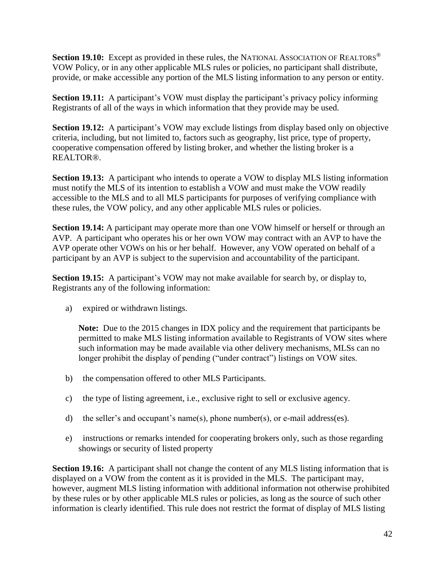**Section 19.10:** Except as provided in these rules, the NATIONAL ASSOCIATION OF REALTORS<sup>®</sup> VOW Policy, or in any other applicable MLS rules or policies, no participant shall distribute, provide, or make accessible any portion of the MLS listing information to any person or entity.

**Section 19.11:** A participant's VOW must display the participant's privacy policy informing Registrants of all of the ways in which information that they provide may be used.

**Section 19.12:** A participant's VOW may exclude listings from display based only on objective criteria, including, but not limited to, factors such as geography, list price, type of property, cooperative compensation offered by listing broker, and whether the listing broker is a REALTOR®.

**Section 19.13:** A participant who intends to operate a VOW to display MLS listing information must notify the MLS of its intention to establish a VOW and must make the VOW readily accessible to the MLS and to all MLS participants for purposes of verifying compliance with these rules, the VOW policy, and any other applicable MLS rules or policies.

**Section 19.14:** A participant may operate more than one VOW himself or herself or through an AVP. A participant who operates his or her own VOW may contract with an AVP to have the AVP operate other VOWs on his or her behalf. However, any VOW operated on behalf of a participant by an AVP is subject to the supervision and accountability of the participant.

**Section 19.15:** A participant's VOW may not make available for search by, or display to, Registrants any of the following information:

a) expired or withdrawn listings.

**Note:** Due to the 2015 changes in IDX policy and the requirement that participants be permitted to make MLS listing information available to Registrants of VOW sites where such information may be made available via other delivery mechanisms, MLSs can no longer prohibit the display of pending ("under contract") listings on VOW sites.

- b) the compensation offered to other MLS Participants.
- c) the type of listing agreement, i.e., exclusive right to sell or exclusive agency.
- d) the seller's and occupant's name(s), phone number(s), or e-mail address(es).
- e) instructions or remarks intended for cooperating brokers only, such as those regarding showings or security of listed property

**Section 19.16:** A participant shall not change the content of any MLS listing information that is displayed on a VOW from the content as it is provided in the MLS. The participant may, however, augment MLS listing information with additional information not otherwise prohibited by these rules or by other applicable MLS rules or policies, as long as the source of such other information is clearly identified. This rule does not restrict the format of display of MLS listing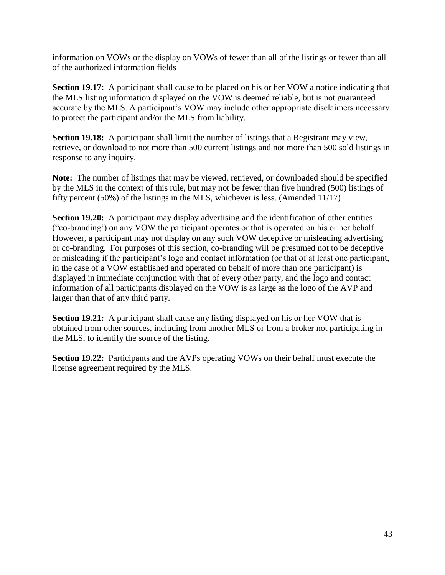information on VOWs or the display on VOWs of fewer than all of the listings or fewer than all of the authorized information fields

**Section 19.17:** A participant shall cause to be placed on his or her VOW a notice indicating that the MLS listing information displayed on the VOW is deemed reliable, but is not guaranteed accurate by the MLS. A participant's VOW may include other appropriate disclaimers necessary to protect the participant and/or the MLS from liability.

**Section 19.18:** A participant shall limit the number of listings that a Registrant may view, retrieve, or download to not more than 500 current listings and not more than 500 sold listings in response to any inquiry.

**Note:** The number of listings that may be viewed, retrieved, or downloaded should be specified by the MLS in the context of this rule, but may not be fewer than five hundred (500) listings of fifty percent (50%) of the listings in the MLS, whichever is less. (Amended 11/17)

**Section 19.20:** A participant may display advertising and the identification of other entities ("co-branding') on any VOW the participant operates or that is operated on his or her behalf. However, a participant may not display on any such VOW deceptive or misleading advertising or co-branding. For purposes of this section, co-branding will be presumed not to be deceptive or misleading if the participant's logo and contact information (or that of at least one participant, in the case of a VOW established and operated on behalf of more than one participant) is displayed in immediate conjunction with that of every other party, and the logo and contact information of all participants displayed on the VOW is as large as the logo of the AVP and larger than that of any third party.

**Section 19.21:** A participant shall cause any listing displayed on his or her VOW that is obtained from other sources, including from another MLS or from a broker not participating in the MLS, to identify the source of the listing.

**Section 19.22:** Participants and the AVPs operating VOWs on their behalf must execute the license agreement required by the MLS.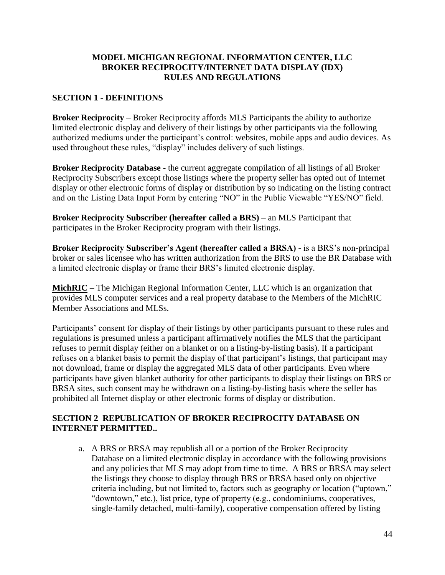## **MODEL MICHIGAN REGIONAL INFORMATION CENTER, LLC BROKER RECIPROCITY/INTERNET DATA DISPLAY (IDX) RULES AND REGULATIONS**

# **SECTION 1 - DEFINITIONS**

**Broker Reciprocity** – Broker Reciprocity affords MLS Participants the ability to authorize limited electronic display and delivery of their listings by other participants via the following authorized mediums under the participant's control: websites, mobile apps and audio devices. As used throughout these rules, "display" includes delivery of such listings.

**Broker Reciprocity Database** - the current aggregate compilation of all listings of all Broker Reciprocity Subscribers except those listings where the property seller has opted out of Internet display or other electronic forms of display or distribution by so indicating on the listing contract and on the Listing Data Input Form by entering "NO" in the Public Viewable "YES/NO" field.

**Broker Reciprocity Subscriber (hereafter called a BRS)** – an MLS Participant that participates in the Broker Reciprocity program with their listings.

**Broker Reciprocity Subscriber's Agent (hereafter called a BRSA)** - is a BRS's non-principal broker or sales licensee who has written authorization from the BRS to use the BR Database with a limited electronic display or frame their BRS's limited electronic display.

**MichRIC** – The Michigan Regional Information Center, LLC which is an organization that provides MLS computer services and a real property database to the Members of the MichRIC Member Associations and MLSs.

Participants' consent for display of their listings by other participants pursuant to these rules and regulations is presumed unless a participant affirmatively notifies the MLS that the participant refuses to permit display (either on a blanket or on a listing-by-listing basis). If a participant refuses on a blanket basis to permit the display of that participant's listings, that participant may not download, frame or display the aggregated MLS data of other participants. Even where participants have given blanket authority for other participants to display their listings on BRS or BRSA sites, such consent may be withdrawn on a listing-by-listing basis where the seller has prohibited all Internet display or other electronic forms of display or distribution.

## **SECTION 2 REPUBLICATION OF BROKER RECIPROCITY DATABASE ON INTERNET PERMITTED..**

a. A BRS or BRSA may republish all or a portion of the Broker Reciprocity Database on a limited electronic display in accordance with the following provisions and any policies that MLS may adopt from time to time. A BRS or BRSA may select the listings they choose to display through BRS or BRSA based only on objective criteria including, but not limited to, factors such as geography or location ("uptown," "downtown," etc.), list price, type of property (e.g., condominiums, cooperatives, single-family detached, multi-family), cooperative compensation offered by listing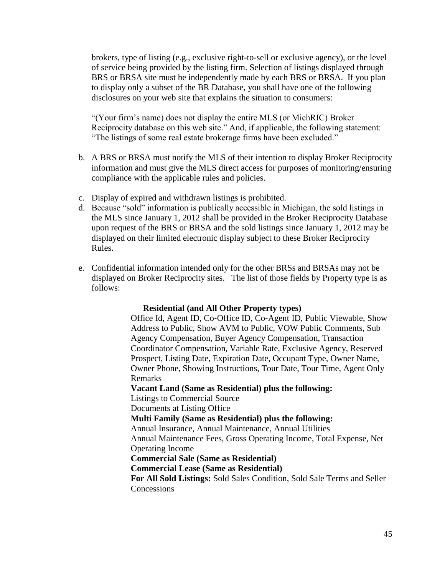brokers, type of listing (e.g., exclusive right-to-sell or exclusive agency), or the level of service being provided by the listing firm. Selection of listings displayed through BRS or BRSA site must be independently made by each BRS or BRSA. If you plan to display only a subset of the BR Database, you shall have one of the following disclosures on your web site that explains the situation to consumers:

"(Your firm's name) does not display the entire MLS (or MichRIC) Broker Reciprocity database on this web site." And, if applicable, the following statement: "The listings of some real estate brokerage firms have been excluded."

- b. A BRS or BRSA must notify the MLS of their intention to display Broker Reciprocity information and must give the MLS direct access for purposes of monitoring/ensuring compliance with the applicable rules and policies.
- c. Display of expired and withdrawn listings is prohibited.
- d. Because "sold" information is publically accessible in Michigan, the sold listings in the MLS since January 1, 2012 shall be provided in the Broker Reciprocity Database upon request of the BRS or BRSA and the sold listings since January 1, 2012 may be displayed on their limited electronic display subject to these Broker Reciprocity Rules.
- e. Confidential information intended only for the other BRSs and BRSAs may not be displayed on Broker Reciprocity sites. The list of those fields by Property type is as follows:

#### **Residential (and All Other Property types)**

Office Id, Agent ID, Co‐Office ID, Co‐Agent ID, Public Viewable, Show Address to Public, Show AVM to Public, VOW Public Comments, Sub Agency Compensation, Buyer Agency Compensation, Transaction Coordinator Compensation, Variable Rate, Exclusive Agency, Reserved Prospect, Listing Date, Expiration Date, Occupant Type, Owner Name, Owner Phone, Showing Instructions, Tour Date, Tour Time, Agent Only Remarks

#### **Vacant Land (Same as Residential) plus the following:**

Listings to Commercial Source

Documents at Listing Office

**Multi Family (Same as Residential) plus the following:**

Annual Insurance, Annual Maintenance, Annual Utilities

Annual Maintenance Fees, Gross Operating Income, Total Expense, Net Operating Income

**Commercial Sale (Same as Residential)**

**Commercial Lease (Same as Residential)**

**For All Sold Listings:** Sold Sales Condition, Sold Sale Terms and Seller **Concessions**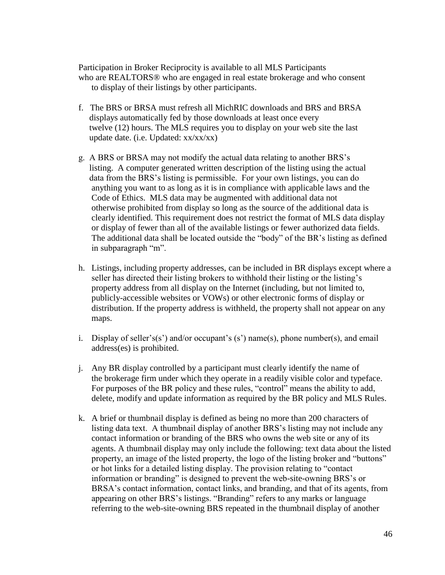Participation in Broker Reciprocity is available to all MLS Participants who are REALTORS® who are engaged in real estate brokerage and who consent to display of their listings by other participants.

- f. The BRS or BRSA must refresh all MichRIC downloads and BRS and BRSA displays automatically fed by those downloads at least once every twelve (12) hours. The MLS requires you to display on your web site the last update date. (i.e. Updated: xx/xx/xx)
- g. A BRS or BRSA may not modify the actual data relating to another BRS's listing. A computer generated written description of the listing using the actual data from the BRS's listing is permissible. For your own listings, you can do anything you want to as long as it is in compliance with applicable laws and the Code of Ethics. MLS data may be augmented with additional data not otherwise prohibited from display so long as the source of the additional data is clearly identified. This requirement does not restrict the format of MLS data display or display of fewer than all of the available listings or fewer authorized data fields. The additional data shall be located outside the "body" of the BR's listing as defined in subparagraph "m".
- h. Listings, including property addresses, can be included in BR displays except where a seller has directed their listing brokers to withhold their listing or the listing's property address from all display on the Internet (including, but not limited to, publicly-accessible websites or VOWs) or other electronic forms of display or distribution. If the property address is withheld, the property shall not appear on any maps.
- i. Display of seller's(s') and/or occupant's (s') name(s), phone number(s), and email address(es) is prohibited.
- j. Any BR display controlled by a participant must clearly identify the name of the brokerage firm under which they operate in a readily visible color and typeface. For purposes of the BR policy and these rules, "control" means the ability to add, delete, modify and update information as required by the BR policy and MLS Rules.
- k. A brief or thumbnail display is defined as being no more than 200 characters of listing data text. A thumbnail display of another BRS's listing may not include any contact information or branding of the BRS who owns the web site or any of its agents. A thumbnail display may only include the following: text data about the listed property, an image of the listed property, the logo of the listing broker and "buttons" or hot links for a detailed listing display. The provision relating to "contact information or branding" is designed to prevent the web-site-owning BRS's or BRSA's contact information, contact links, and branding, and that of its agents, from appearing on other BRS's listings. "Branding" refers to any marks or language referring to the web-site-owning BRS repeated in the thumbnail display of another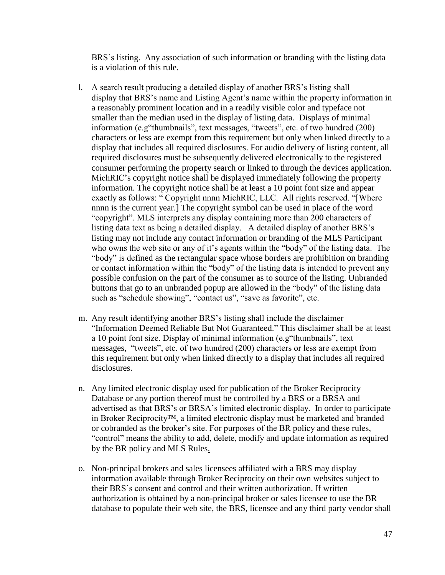BRS's listing. Any association of such information or branding with the listing data is a violation of this rule.

- l*.* A search result producing a detailed display of another BRS's listing shall display that BRS's name and Listing Agent's name within the property information in a reasonably prominent location and in a readily visible color and typeface not smaller than the median used in the display of listing data. Displays of minimal information (e.g"thumbnails", text messages, "tweets", etc. of two hundred (200) characters or less are exempt from this requirement but only when linked directly to a display that includes all required disclosures. For audio delivery of listing content, all required disclosures must be subsequently delivered electronically to the registered consumer performing the property search or linked to through the devices application. MichRIC's copyright notice shall be displayed immediately following the property information. The copyright notice shall be at least a 10 point font size and appear exactly as follows: " Copyright nnnn MichRIC, LLC. All rights reserved. "[Where nnnn is the current year.] The copyright symbol can be used in place of the word "copyright". MLS interprets any display containing more than 200 characters of listing data text as being a detailed display. A detailed display of another BRS's listing may not include any contact information or branding of the MLS Participant who owns the web site or any of it's agents within the "body" of the listing data. The "body" is defined as the rectangular space whose borders are prohibition on branding or contact information within the "body" of the listing data is intended to prevent any possible confusion on the part of the consumer as to source of the listing. Unbranded buttons that go to an unbranded popup are allowed in the "body" of the listing data such as "schedule showing", "contact us", "save as favorite", etc.
- m. Any result identifying another BRS's listing shall include the disclaimer "Information Deemed Reliable But Not Guaranteed." This disclaimer shall be at least a 10 point font size. Display of minimal information (e.g"thumbnails", text messages, "tweets", etc. of two hundred (200) characters or less are exempt from this requirement but only when linked directly to a display that includes all required disclosures.
- n. Any limited electronic display used for publication of the Broker Reciprocity Database or any portion thereof must be controlled by a BRS or a BRSA and advertised as that BRS's or BRSA's limited electronic display. In order to participate in Broker Reciprocity™, a limited electronic display must be marketed and branded or cobranded as the broker's site. For purposes of the BR policy and these rules, "control" means the ability to add, delete, modify and update information as required by the BR policy and MLS Rules.
- o. Non-principal brokers and sales licensees affiliated with a BRS may display information available through Broker Reciprocity on their own websites subject to their BRS's consent and control and their written authorization. If written authorization is obtained by a non-principal broker or sales licensee to use the BR database to populate their web site, the BRS, licensee and any third party vendor shall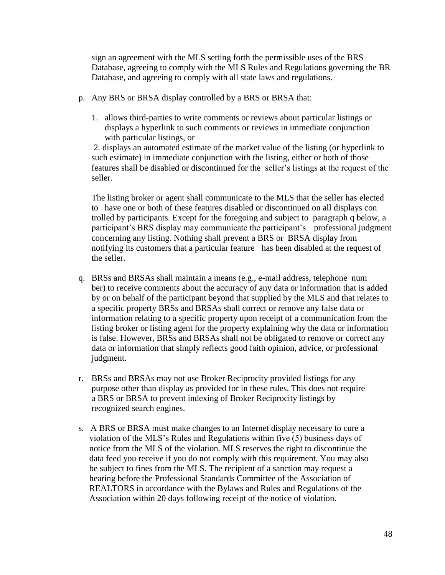sign an agreement with the MLS setting forth the permissible uses of the BRS Database, agreeing to comply with the MLS Rules and Regulations governing the BR Database, and agreeing to comply with all state laws and regulations.

- p. Any BRS or BRSA display controlled by a BRS or BRSA that:
	- 1. allows third-parties to write comments or reviews about particular listings or displays a hyperlink to such comments or reviews in immediate conjunction with particular listings, or

2. displays an automated estimate of the market value of the listing (or hyperlink to such estimate) in immediate conjunction with the listing, either or both of those features shall be disabled or discontinued for the seller's listings at the request of the seller.

 The listing broker or agent shall communicate to the MLS that the seller has elected to have one or both of these features disabled or discontinued on all displays con trolled by participants. Except for the foregoing and subject to paragraph q below, a participant's BRS display may communicate the participant's professional judgment concerning any listing. Nothing shall prevent a BRS or BRSA display from notifying its customers that a particular feature has been disabled at the request of the seller.

- q. BRSs and BRSAs shall maintain a means (e.g., e-mail address, telephone num ber) to receive comments about the accuracy of any data or information that is added by or on behalf of the participant beyond that supplied by the MLS and that relates to a specific property BRSs and BRSAs shall correct or remove any false data or information relating to a specific property upon receipt of a communication from the listing broker or listing agent for the property explaining why the data or information is false. However, BRSs and BRSAs shall not be obligated to remove or correct any data or information that simply reflects good faith opinion, advice, or professional judgment.
- r. BRSs and BRSAs may not use Broker Reciprocity provided listings for any purpose other than display as provided for in these rules. This does not require a BRS or BRSA to prevent indexing of Broker Reciprocity listings by recognized search engines.
- s*.* A BRS or BRSA must make changes to an Internet display necessary to cure a violation of the MLS's Rules and Regulations within five (5) business days of notice from the MLS of the violation. MLS reserves the right to discontinue the data feed you receive if you do not comply with this requirement. You may also be subject to fines from the MLS. The recipient of a sanction may request a hearing before the Professional Standards Committee of the Association of REALTORS in accordance with the Bylaws and Rules and Regulations of the Association within 20 days following receipt of the notice of violation.